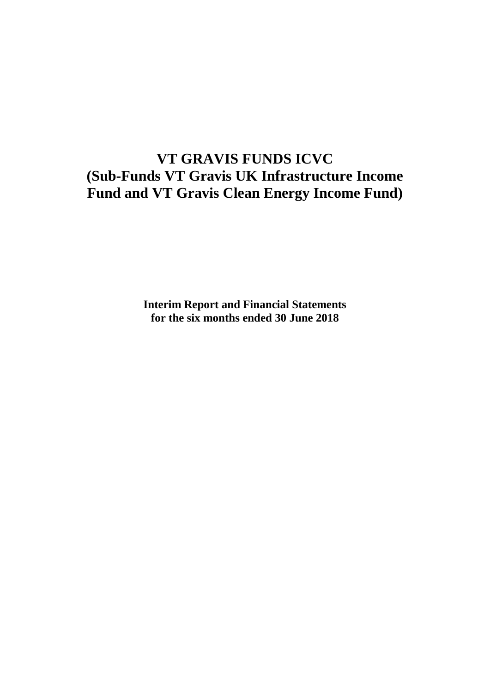# **VT GRAVIS FUNDS ICVC (Sub-Funds VT Gravis UK Infrastructure Income Fund and VT Gravis Clean Energy Income Fund)**

**Interim Report and Financial Statements for the six months ended 30 June 2018**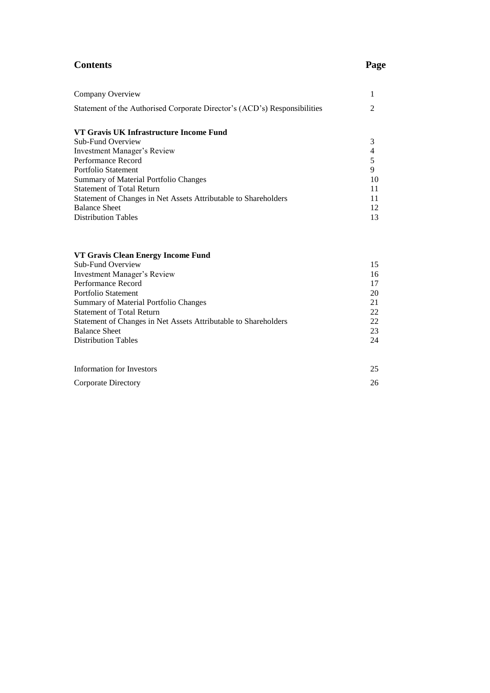# **Contents Page**

| Company Overview                                                          | 1              |
|---------------------------------------------------------------------------|----------------|
| Statement of the Authorised Corporate Director's (ACD's) Responsibilities | $\overline{2}$ |
|                                                                           |                |
| VT Gravis UK Infrastructure Income Fund                                   |                |
| Sub-Fund Overview                                                         | 3              |
| <b>Investment Manager's Review</b>                                        | 4              |
| Performance Record                                                        | 5              |
| Portfolio Statement                                                       | 9              |
| <b>Summary of Material Portfolio Changes</b>                              | 10             |
| <b>Statement of Total Return</b>                                          | 11             |
| Statement of Changes in Net Assets Attributable to Shareholders           | 11             |
| <b>Balance Sheet</b>                                                      | 12             |
| <b>Distribution Tables</b>                                                | 13             |
|                                                                           |                |
| VT Gravis Clean Energy Income Fund                                        |                |
| Sub-Fund Overview                                                         | 15             |
| <b>Investment Manager's Review</b>                                        | 16             |
| Performance Record                                                        | 17             |
| Portfolio Statement                                                       | 20             |
| <b>Summary of Material Portfolio Changes</b>                              | 21             |
| <b>Statement of Total Return</b>                                          | 22             |
| Statement of Changes in Net Assets Attributable to Shareholders           | 22             |
| <b>Balance Sheet</b>                                                      | 23             |
| <b>Distribution Tables</b>                                                | 24             |

| Information for Investors | 25 |
|---------------------------|----|
| Corporate Directory       | 26 |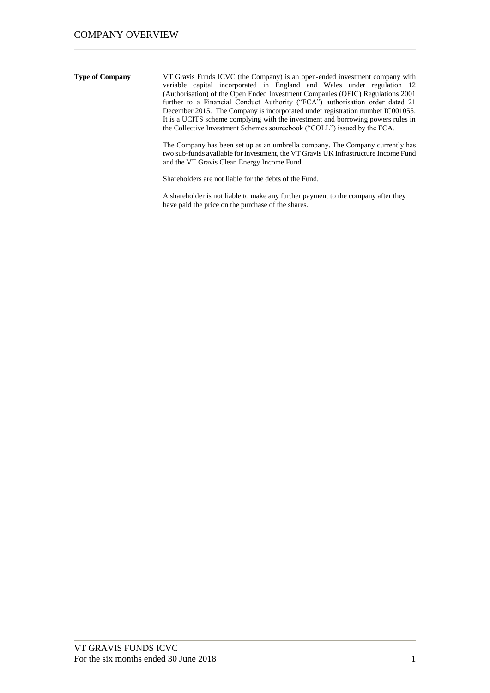**Type of Company** VT Gravis Funds ICVC (the Company) is an open-ended investment company with variable capital incorporated in England and Wales under regulation 12 (Authorisation) of the Open Ended Investment Companies (OEIC) Regulations 2001 further to a Financial Conduct Authority ("FCA") authorisation order dated 21 December 2015. The Company is incorporated under registration number IC001055. It is a UCITS scheme complying with the investment and borrowing powers rules in the Collective Investment Schemes sourcebook ("COLL") issued by the FCA.

> The Company has been set up as an umbrella company. The Company currently has two sub-funds available for investment, the VT Gravis UK Infrastructure Income Fund and the VT Gravis Clean Energy Income Fund.

Shareholders are not liable for the debts of the Fund.

A shareholder is not liable to make any further payment to the company after they have paid the price on the purchase of the shares.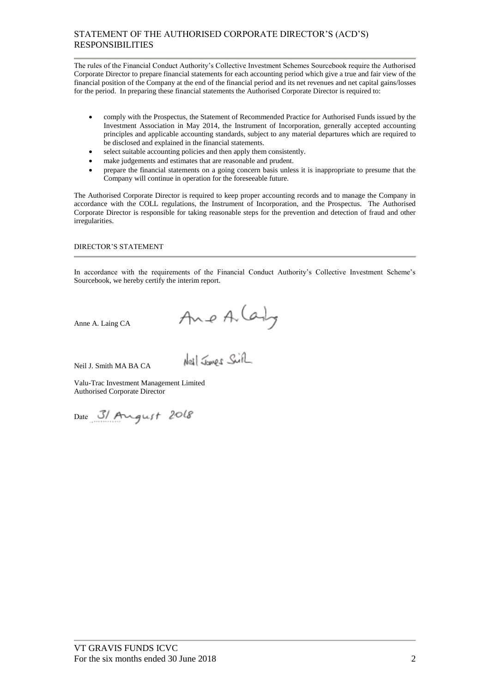# STATEMENT OF THE AUTHORISED CORPORATE DIRECTOR'S (ACD'S) RESPONSIBILITIES

The rules of the Financial Conduct Authority's Collective Investment Schemes Sourcebook require the Authorised Corporate Director to prepare financial statements for each accounting period which give a true and fair view of the financial position of the Company at the end of the financial period and its net revenues and net capital gains/losses for the period. In preparing these financial statements the Authorised Corporate Director is required to:

- comply with the Prospectus, the Statement of Recommended Practice for Authorised Funds issued by the Investment Association in May 2014, the Instrument of Incorporation, generally accepted accounting principles and applicable accounting standards, subject to any material departures which are required to be disclosed and explained in the financial statements.
- select suitable accounting policies and then apply them consistently.
- make judgements and estimates that are reasonable and prudent.
- prepare the financial statements on a going concern basis unless it is inappropriate to presume that the Company will continue in operation for the foreseeable future.

The Authorised Corporate Director is required to keep proper accounting records and to manage the Company in accordance with the COLL regulations, the Instrument of Incorporation, and the Prospectus. The Authorised Corporate Director is responsible for taking reasonable steps for the prevention and detection of fraud and other irregularities.

DIRECTOR'S STATEMENT

In accordance with the requirements of the Financial Conduct Authority's Collective Investment Scheme's Sourcebook, we hereby certify the interim report.

Anne A. Laing CA

Neil J. Smith MA BA CA

Ane A (andy

Valu-Trac Investment Management Limited Authorised Corporate Director

Date 3/ August 2018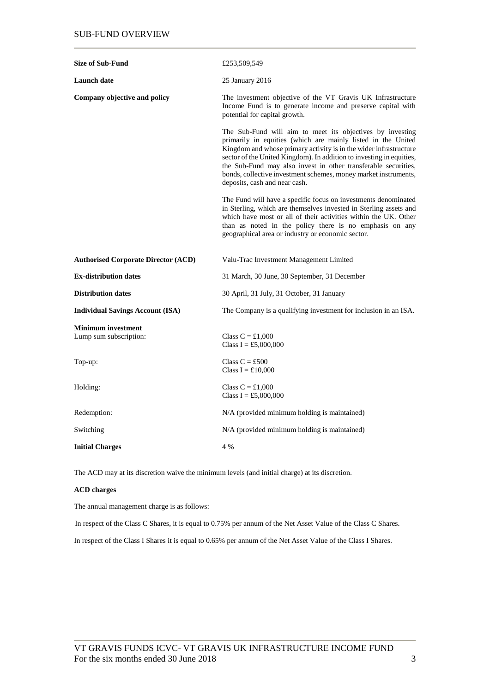| <b>Size of Sub-Fund</b>                             | £253,509,549                                                                                                                                                                                                                                                                                                                                                                                                                                 |
|-----------------------------------------------------|----------------------------------------------------------------------------------------------------------------------------------------------------------------------------------------------------------------------------------------------------------------------------------------------------------------------------------------------------------------------------------------------------------------------------------------------|
| <b>Launch</b> date                                  | 25 January 2016                                                                                                                                                                                                                                                                                                                                                                                                                              |
| Company objective and policy                        | The investment objective of the VT Gravis UK Infrastructure<br>Income Fund is to generate income and preserve capital with<br>potential for capital growth.                                                                                                                                                                                                                                                                                  |
|                                                     | The Sub-Fund will aim to meet its objectives by investing<br>primarily in equities (which are mainly listed in the United<br>Kingdom and whose primary activity is in the wider infrastructure<br>sector of the United Kingdom). In addition to investing in equities,<br>the Sub-Fund may also invest in other transferable securities,<br>bonds, collective investment schemes, money market instruments,<br>deposits, cash and near cash. |
|                                                     | The Fund will have a specific focus on investments denominated<br>in Sterling, which are themselves invested in Sterling assets and<br>which have most or all of their activities within the UK. Other<br>than as noted in the policy there is no emphasis on any<br>geographical area or industry or economic sector.                                                                                                                       |
| <b>Authorised Corporate Director (ACD)</b>          | Valu-Trac Investment Management Limited                                                                                                                                                                                                                                                                                                                                                                                                      |
| <b>Ex-distribution dates</b>                        | 31 March, 30 June, 30 September, 31 December                                                                                                                                                                                                                                                                                                                                                                                                 |
| <b>Distribution dates</b>                           | 30 April, 31 July, 31 October, 31 January                                                                                                                                                                                                                                                                                                                                                                                                    |
| <b>Individual Savings Account (ISA)</b>             | The Company is a qualifying investment for inclusion in an ISA.                                                                                                                                                                                                                                                                                                                                                                              |
| <b>Minimum investment</b><br>Lump sum subscription: | Class $C = £1,000$<br>Class I = £5,000,000                                                                                                                                                                                                                                                                                                                                                                                                   |
| Top-up:                                             | Class $C = £500$<br>Class $I = £10,000$                                                                                                                                                                                                                                                                                                                                                                                                      |
| Holding:                                            | Class $C = £1,000$<br>Class I = £5,000,000                                                                                                                                                                                                                                                                                                                                                                                                   |
| Redemption:                                         | N/A (provided minimum holding is maintained)                                                                                                                                                                                                                                                                                                                                                                                                 |
| Switching                                           | N/A (provided minimum holding is maintained)                                                                                                                                                                                                                                                                                                                                                                                                 |
| <b>Initial Charges</b>                              | 4 %                                                                                                                                                                                                                                                                                                                                                                                                                                          |

The ACD may at its discretion waive the minimum levels (and initial charge) at its discretion.

# **ACD charges**

The annual management charge is as follows:

In respect of the Class C Shares, it is equal to 0.75% per annum of the Net Asset Value of the Class C Shares.

In respect of the Class I Shares it is equal to 0.65% per annum of the Net Asset Value of the Class I Shares.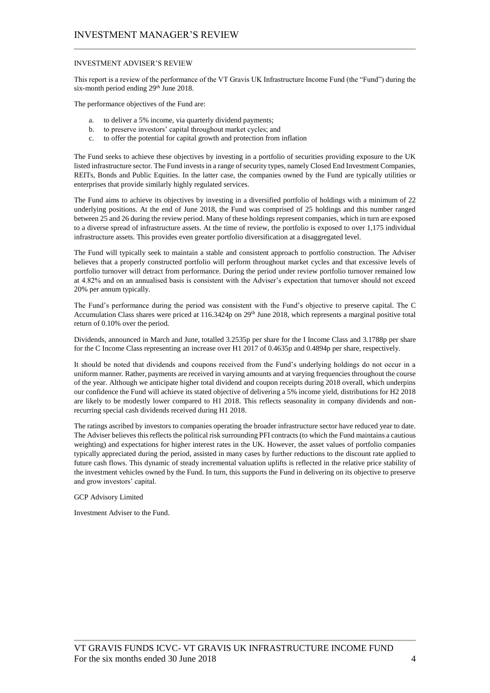### INVESTMENT ADVISER'S REVIEW

This report is a review of the performance of the VT Gravis UK Infrastructure Income Fund (the "Fund") during the six-month period ending 29<sup>th</sup> June 2018.

The performance objectives of the Fund are:

- a. to deliver a 5% income, via quarterly dividend payments;
- b. to preserve investors' capital throughout market cycles; and
- c. to offer the potential for capital growth and protection from inflation

The Fund seeks to achieve these objectives by investing in a portfolio of securities providing exposure to the UK listed infrastructure sector. The Fund invests in a range of security types, namely Closed End Investment Companies, REITs, Bonds and Public Equities. In the latter case, the companies owned by the Fund are typically utilities or enterprises that provide similarly highly regulated services.

The Fund aims to achieve its objectives by investing in a diversified portfolio of holdings with a minimum of 22 underlying positions. At the end of June 2018, the Fund was comprised of 25 holdings and this number ranged between 25 and 26 during the review period. Many of these holdings represent companies, which in turn are exposed to a diverse spread of infrastructure assets. At the time of review, the portfolio is exposed to over 1,175 individual infrastructure assets. This provides even greater portfolio diversification at a disaggregated level.

The Fund will typically seek to maintain a stable and consistent approach to portfolio construction. The Adviser believes that a properly constructed portfolio will perform throughout market cycles and that excessive levels of portfolio turnover will detract from performance. During the period under review portfolio turnover remained low at 4.82% and on an annualised basis is consistent with the Adviser's expectation that turnover should not exceed 20% per annum typically.

The Fund's performance during the period was consistent with the Fund's objective to preserve capital. The C Accumulation Class shares were priced at 116.3424p on 29<sup>th</sup> June 2018, which represents a marginal positive total return of 0.10% over the period.

Dividends, announced in March and June, totalled 3.2535p per share for the I Income Class and 3.1788p per share for the C Income Class representing an increase over H1 2017 of 0.4635p and 0.4894p per share, respectively.

It should be noted that dividends and coupons received from the Fund's underlying holdings do not occur in a uniform manner. Rather, payments are received in varying amounts and at varying frequencies throughout the course of the year. Although we anticipate higher total dividend and coupon receipts during 2018 overall, which underpins our confidence the Fund will achieve its stated objective of delivering a 5% income yield, distributions for H2 2018 are likely to be modestly lower compared to H1 2018. This reflects seasonality in company dividends and nonrecurring special cash dividends received during H1 2018.

The ratings ascribed by investors to companies operating the broader infrastructure sector have reduced year to date. The Adviser believes this reflects the political risk surrounding PFI contracts (to which the Fund maintains a cautious weighting) and expectations for higher interest rates in the UK. However, the asset values of portfolio companies typically appreciated during the period, assisted in many cases by further reductions to the discount rate applied to future cash flows. This dynamic of steady incremental valuation uplifts is reflected in the relative price stability of the investment vehicles owned by the Fund. In turn, this supports the Fund in delivering on its objective to preserve and grow investors' capital.

GCP Advisory Limited

Investment Adviser to the Fund.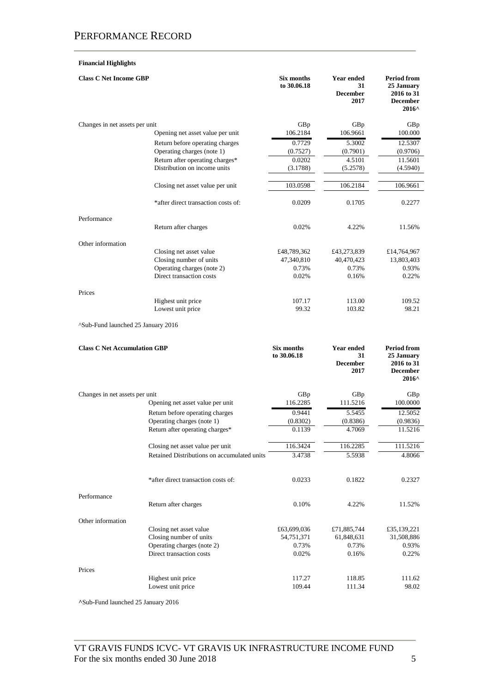# **Financial Highlights**

| <b>Class C Net Income GBP</b>       |                                             | Six months<br>to 30.06.18        | <b>Year ended</b><br>31<br><b>December</b><br>2017 | <b>Period from</b><br>25 January<br>2016 to 31<br><b>December</b><br>2016^           |
|-------------------------------------|---------------------------------------------|----------------------------------|----------------------------------------------------|--------------------------------------------------------------------------------------|
| Changes in net assets per unit      |                                             | GBp                              | GBp                                                | GBp                                                                                  |
|                                     | Opening net asset value per unit            | 106.2184                         | 106.9661                                           | 100.000                                                                              |
|                                     | Return before operating charges             | 0.7729                           | 5.3002                                             | 12.5307                                                                              |
|                                     | Operating charges (note 1)                  | (0.7527)                         | (0.7901)                                           | (0.9706)                                                                             |
|                                     | Return after operating charges*             | 0.0202                           | 4.5101                                             | 11.5601                                                                              |
|                                     | Distribution on income units                | (3.1788)                         | (5.2578)                                           | (4.5940)                                                                             |
|                                     | Closing net asset value per unit            | 103.0598                         | 106.2184                                           | 106.9661                                                                             |
|                                     | *after direct transaction costs of:         | 0.0209                           | 0.1705                                             | 0.2277                                                                               |
| Performance                         |                                             |                                  |                                                    |                                                                                      |
|                                     | Return after charges                        | 0.02%                            | 4.22%                                              | 11.56%                                                                               |
| Other information                   |                                             |                                  |                                                    |                                                                                      |
|                                     | Closing net asset value                     | £48,789,362                      | £43,273,839                                        | £14,764,967                                                                          |
|                                     | Closing number of units                     | 47,340,810                       | 40,470,423                                         | 13,803,403                                                                           |
|                                     | Operating charges (note 2)                  | 0.73%                            | 0.73%                                              | 0.93%                                                                                |
|                                     | Direct transaction costs                    | 0.02%                            | 0.16%                                              | 0.22%                                                                                |
| Prices                              |                                             |                                  |                                                    |                                                                                      |
|                                     | Highest unit price                          | 107.17                           | 113.00                                             | 109.52                                                                               |
|                                     | Lowest unit price                           | 99.32                            | 103.82                                             | 98.21                                                                                |
| ^Sub-Fund launched 25 January 2016  |                                             |                                  |                                                    |                                                                                      |
| <b>Class C Net Accumulation GBP</b> |                                             | <b>Six months</b><br>to 30.06.18 | Year ended<br>31<br><b>December</b><br>2017        | <b>Period from</b><br>25 January<br>2016 to 31<br><b>December</b><br>$2016^{\wedge}$ |
| Changes in net assets per unit      |                                             | GBp                              | GBp                                                | GBp                                                                                  |
|                                     | Opening net asset value per unit            | 116.2285                         | 111.5216                                           | 100.0000                                                                             |
|                                     | Return before operating charges             | 0.9441                           | 5.5455                                             | 12.5052                                                                              |
|                                     | Operating charges (note 1)                  | (0.8302)                         | (0.8386)                                           | (0.9836)                                                                             |
|                                     | Return after operating charges*             | 0.1139                           | 4.7069                                             | 11.5216                                                                              |
|                                     | Closing net asset value per unit            | 116.3424                         | 116.2285                                           | 111.5216                                                                             |
|                                     | Retained Distributions on accumulated units | 3.4738                           | 5.5938                                             | 4.8066                                                                               |
|                                     | *after direct transaction costs of:         | 0.0233                           | 0.1822                                             | 0.2327                                                                               |
| Performance                         | Return after charges                        | 0.10%                            | 4.22%                                              | 11.52%                                                                               |
| Other information                   |                                             |                                  |                                                    |                                                                                      |
|                                     | Closing net asset value                     | £63,699,036                      | £71,885,744                                        | £35,139,221                                                                          |
|                                     | Closing number of units                     | 54,751,371                       | 61,848,631                                         | 31,508,886                                                                           |
|                                     | Operating charges (note 2)                  | 0.73%                            | 0.73%                                              | 0.93%                                                                                |
|                                     | Direct transaction costs                    | 0.02%                            | 0.16%                                              | 0.22%                                                                                |
| Prices                              |                                             |                                  |                                                    |                                                                                      |
|                                     | Highest unit price                          | 117.27                           | 118.85                                             | 111.62                                                                               |
|                                     | Lowest unit price                           | 109.44                           | 111.34                                             | 98.02                                                                                |

**^**Sub-Fund launched 25 January 2016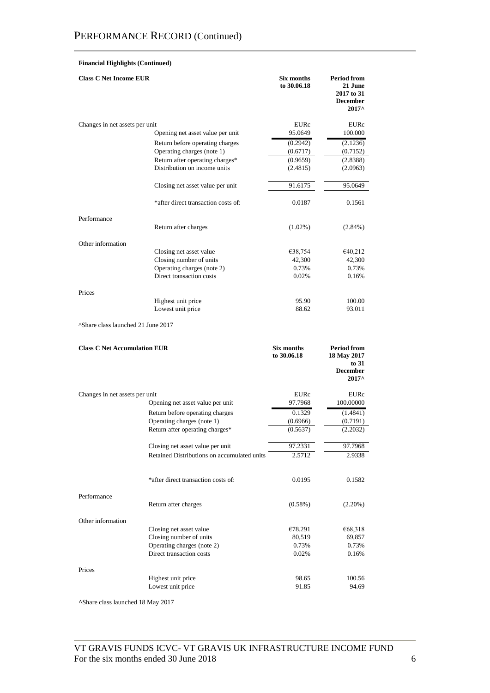# **Financial Highlights (Continued)**

| <b>Class C Net Income EUR</b>                  |                                             | Six months<br>to 30.06.18 | <b>Period from</b><br>21 June<br>2017 to 31<br><b>December</b><br>2017^ |
|------------------------------------------------|---------------------------------------------|---------------------------|-------------------------------------------------------------------------|
| Changes in net assets per unit                 |                                             | EURc                      | EURc                                                                    |
|                                                | Opening net asset value per unit            | 95.0649                   | 100.000                                                                 |
|                                                | Return before operating charges             | (0.2942)                  | (2.1236)                                                                |
|                                                | Operating charges (note 1)                  | (0.6717)                  | (0.7152)                                                                |
|                                                | Return after operating charges*             | (0.9659)                  | (2.8388)                                                                |
|                                                | Distribution on income units                | (2.4815)                  | (2.0963)                                                                |
|                                                | Closing net asset value per unit            | 91.6175                   | 95.0649                                                                 |
|                                                | *after direct transaction costs of:         | 0.0187                    | 0.1561                                                                  |
| Performance                                    |                                             |                           |                                                                         |
|                                                | Return after charges                        | $(1.02\%)$                | $(2.84\%)$                                                              |
| Other information                              |                                             |                           |                                                                         |
|                                                | Closing net asset value                     | €38,754                   | €40,212                                                                 |
|                                                | Closing number of units                     | 42,300                    | 42,300                                                                  |
|                                                | Operating charges (note 2)                  | 0.73%                     | 0.73%                                                                   |
|                                                | Direct transaction costs                    | 0.02%                     | 0.16%                                                                   |
| Prices                                         |                                             |                           |                                                                         |
|                                                | Highest unit price                          | 95.90                     | 100.00                                                                  |
|                                                | Lowest unit price                           | 88.62                     | 93.011                                                                  |
| <sup>^</sup> Share class launched 21 June 2017 |                                             |                           |                                                                         |
| <b>Class C Net Accumulation EUR</b>            |                                             | Six months<br>to 30.06.18 | <b>Period from</b><br>18 May 2017<br>to $31$                            |
|                                                |                                             |                           | <b>December</b><br>2017^                                                |
| Changes in net assets per unit                 |                                             | EURc                      | EURc                                                                    |
|                                                | Opening net asset value per unit            |                           |                                                                         |
|                                                |                                             | 97.7968                   | 100.00000                                                               |
|                                                | Return before operating charges             | 0.1329                    | (1.4841)                                                                |
|                                                | Operating charges (note 1)                  | (0.6966)                  | (0.7191)                                                                |
|                                                | Return after operating charges*             | (0.5637)                  | (2.2032)                                                                |
|                                                | Closing net asset value per unit            | 97.2331                   | 97.7968                                                                 |
|                                                | Retained Distributions on accumulated units | 2.5712                    | 2.9338                                                                  |
|                                                | *after direct transaction costs of:         | 0.0195                    | 0.1582                                                                  |
| Performance                                    |                                             |                           |                                                                         |
|                                                | Return after charges                        | $(0.58\%)$                | (2.20%)                                                                 |
| Other information                              |                                             |                           |                                                                         |
|                                                | Closing net asset value                     | €78,291                   | €68,318                                                                 |
|                                                | Closing number of units                     | 80,519                    | 69,857                                                                  |
|                                                | Operating charges (note 2)                  | 0.73%                     | 0.73%                                                                   |
|                                                | Direct transaction costs                    | 0.02%                     | 0.16%                                                                   |
| Prices                                         |                                             |                           |                                                                         |
|                                                | Highest unit price                          | 98.65                     | 100.56                                                                  |
|                                                | Lowest unit price                           | 91.85                     | 94.69                                                                   |

**^**Share class launched 18 May 2017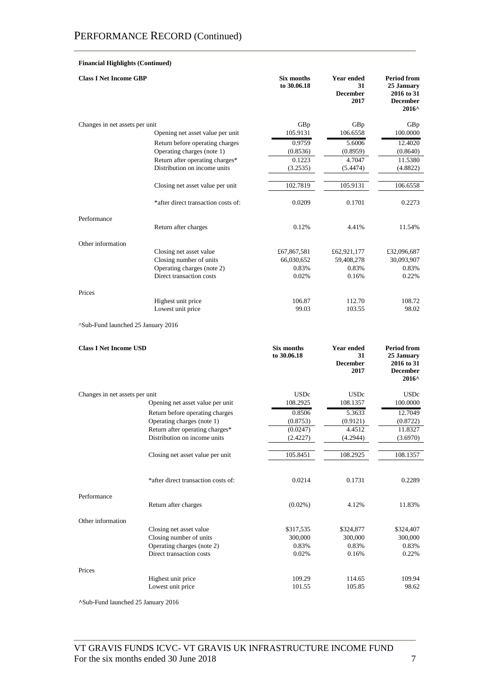# **Financial Highlights (Continued)**

| <b>Class I Net Income GBP</b>                                      |                                         | Six months<br>to 30.06.18        | Year ended<br>31<br><b>December</b><br>2017        | <b>Period from</b><br>25 January<br>2016 to 31<br><b>December</b><br>2016^           |
|--------------------------------------------------------------------|-----------------------------------------|----------------------------------|----------------------------------------------------|--------------------------------------------------------------------------------------|
| Changes in net assets per unit                                     |                                         | GBp                              | GBp                                                | GBp                                                                                  |
|                                                                    | Opening net asset value per unit        | 105.9131                         | 106.6558                                           | 100.0000                                                                             |
|                                                                    | Return before operating charges         | 0.9759                           | 5.6006                                             | 12.4020                                                                              |
|                                                                    | Operating charges (note 1)              | (0.8536)                         | (0.8959)                                           | (0.8640)                                                                             |
|                                                                    | Return after operating charges*         | 0.1223                           | 4.7047                                             | 11.5380                                                                              |
|                                                                    | Distribution on income units            | (3.2535)                         | (5.4474)                                           | (4.8822)                                                                             |
|                                                                    | Closing net asset value per unit        | 102.7819                         | 105.9131                                           | 106.6558                                                                             |
|                                                                    | *after direct transaction costs of:     | 0.0209                           | 0.1701                                             | 0.2273                                                                               |
| Performance                                                        |                                         |                                  |                                                    |                                                                                      |
|                                                                    | Return after charges                    | 0.12%                            | 4.41%                                              | 11.54%                                                                               |
| Other information                                                  |                                         |                                  |                                                    |                                                                                      |
|                                                                    | Closing net asset value                 | £67,867,581                      | £62,921,177                                        | £32,096,687                                                                          |
|                                                                    | Closing number of units                 | 66,030,652                       | 59,408,278                                         | 30,093,907                                                                           |
|                                                                    | Operating charges (note 2)              | 0.83%                            | 0.83%                                              | 0.83%                                                                                |
|                                                                    | Direct transaction costs                | 0.02%                            | 0.16%                                              | 0.22%                                                                                |
| Prices                                                             |                                         |                                  |                                                    |                                                                                      |
|                                                                    | Highest unit price<br>Lowest unit price | 106.87<br>99.03                  | 112.70<br>103.55                                   | 108.72<br>98.02                                                                      |
| Sub-Fund launched 25 January 2016<br><b>Class I Net Income USD</b> |                                         | <b>Six months</b><br>to 30.06.18 | <b>Year ended</b><br>31<br><b>December</b><br>2017 | <b>Period from</b><br>25 January<br>2016 to 31<br><b>December</b><br>$2016^{\wedge}$ |
|                                                                    |                                         |                                  |                                                    |                                                                                      |
| Changes in net assets per unit                                     | Opening net asset value per unit        | <b>USDc</b><br>108.2925          | <b>USDc</b><br>108.1357                            | <b>USDc</b><br>100.0000                                                              |
|                                                                    | Return before operating charges         | 0.8506                           | 5.3633                                             | 12.7049                                                                              |
|                                                                    | Operating charges (note 1)              | (0.8753)                         | (0.9121)                                           | (0.8722)                                                                             |
|                                                                    | Return after operating charges*         | (0.0247)                         | 4.4512                                             | 11.8327                                                                              |
|                                                                    | Distribution on income units            | (2.4227)                         | (4.2944)                                           | (3.6970)                                                                             |
|                                                                    | Closing net asset value per unit        | 105.8451                         | 108.2925                                           | 108.1357                                                                             |
|                                                                    | *after direct transaction costs of:     | 0.0214                           | 0.1731                                             | 0.2289                                                                               |
| Performance                                                        | Return after charges                    | $(0.02\%)$                       | 4.12%                                              | 11.83%                                                                               |
| Other information                                                  |                                         |                                  |                                                    |                                                                                      |
|                                                                    | Closing net asset value                 | \$317,535                        | \$324,877                                          | \$324,407                                                                            |
|                                                                    | Closing number of units                 | 300,000                          | 300,000                                            | 300,000                                                                              |
|                                                                    | Operating charges (note 2)              | 0.83%                            | 0.83%                                              | 0.83%                                                                                |
|                                                                    | Direct transaction costs                | 0.02%                            | 0.16%                                              | 0.22%                                                                                |
| Prices                                                             |                                         |                                  |                                                    |                                                                                      |
|                                                                    | Highest unit price                      | 109.29                           | 114.65                                             | 109.94                                                                               |
|                                                                    | Lowest unit price                       | 101.55                           | 105.85                                             | 98.62                                                                                |
|                                                                    |                                         |                                  |                                                    |                                                                                      |

**^**Sub-Fund launched 25 January 2016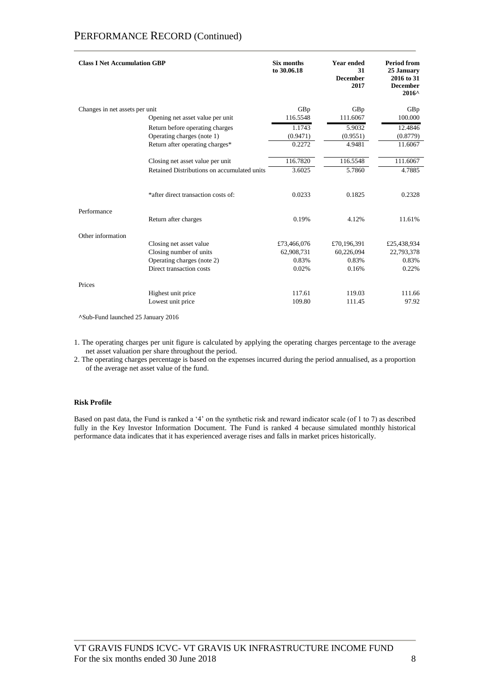# PERFORMANCE RECORD (Continued)

| Changes in net assets per unit<br>GBp<br>GBp<br>GBp<br>116.5548<br>111.6067<br>100.000<br>Opening net asset value per unit<br>1.1743<br>5.9032<br>12.4846<br>Return before operating charges<br>Operating charges (note 1)<br>(0.9471)<br>(0.9551)<br>(0.8779)<br>Return after operating charges*<br>0.2272<br>4.9481<br>11.6067 | <b>Class I Net Accumulation GBP</b> | Six months<br>to 30.06.18 | <b>Year ended</b><br>31<br><b>December</b><br>2017 | <b>Period from</b><br>25 January<br>2016 to 31<br><b>December</b><br>2016^ |
|----------------------------------------------------------------------------------------------------------------------------------------------------------------------------------------------------------------------------------------------------------------------------------------------------------------------------------|-------------------------------------|---------------------------|----------------------------------------------------|----------------------------------------------------------------------------|
|                                                                                                                                                                                                                                                                                                                                  |                                     |                           |                                                    |                                                                            |
|                                                                                                                                                                                                                                                                                                                                  |                                     |                           |                                                    |                                                                            |
|                                                                                                                                                                                                                                                                                                                                  |                                     |                           |                                                    |                                                                            |
|                                                                                                                                                                                                                                                                                                                                  |                                     |                           |                                                    |                                                                            |
|                                                                                                                                                                                                                                                                                                                                  |                                     |                           |                                                    |                                                                            |
| 116.5548<br>116.7820<br>111.6067<br>Closing net asset value per unit                                                                                                                                                                                                                                                             |                                     |                           |                                                    |                                                                            |
| Retained Distributions on accumulated units<br>5.7860<br>4.7885<br>3.6025                                                                                                                                                                                                                                                        |                                     |                           |                                                    |                                                                            |
| *after direct transaction costs of:<br>0.0233<br>0.1825<br>0.2328                                                                                                                                                                                                                                                                |                                     |                           |                                                    |                                                                            |
| Performance<br>Return after charges<br>0.19%<br>4.12%<br>11.61%                                                                                                                                                                                                                                                                  |                                     |                           |                                                    |                                                                            |
| Other information                                                                                                                                                                                                                                                                                                                |                                     |                           |                                                    |                                                                            |
| £70,196,391<br>£25,438,934<br>Closing net asset value<br>£73,466,076                                                                                                                                                                                                                                                             |                                     |                           |                                                    |                                                                            |
| Closing number of units<br>62,908,731<br>60,226,094<br>22,793,378                                                                                                                                                                                                                                                                |                                     |                           |                                                    |                                                                            |
| Operating charges (note 2)<br>0.83%<br>0.83%<br>0.83%                                                                                                                                                                                                                                                                            |                                     |                           |                                                    |                                                                            |
| Direct transaction costs<br>0.22%<br>0.02%<br>0.16%                                                                                                                                                                                                                                                                              |                                     |                           |                                                    |                                                                            |
| Prices                                                                                                                                                                                                                                                                                                                           |                                     |                           |                                                    |                                                                            |
| Highest unit price<br>117.61<br>111.66<br>119.03                                                                                                                                                                                                                                                                                 |                                     |                           |                                                    |                                                                            |
| Lowest unit price<br>109.80<br>97.92<br>111.45                                                                                                                                                                                                                                                                                   |                                     |                           |                                                    |                                                                            |

**^**Sub-Fund launched 25 January 2016

1. The operating charges per unit figure is calculated by applying the operating charges percentage to the average net asset valuation per share throughout the period.

2. The operating charges percentage is based on the expenses incurred during the period annualised, as a proportion of the average net asset value of the fund.

# **Risk Profile**

Based on past data, the Fund is ranked a '4' on the synthetic risk and reward indicator scale (of 1 to 7) as described fully in the Key Investor Information Document. The Fund is ranked 4 because simulated monthly historical performance data indicates that it has experienced average rises and falls in market prices historically.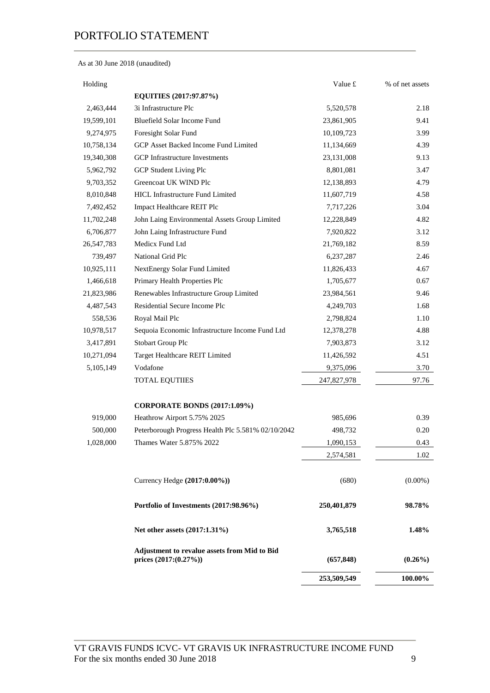As at 30 June 2018 (unaudited)

| Holding    |                                                                         | Value £     | % of net assets |
|------------|-------------------------------------------------------------------------|-------------|-----------------|
|            | EQUITIES (2017:97.87%)                                                  |             |                 |
| 2,463,444  | 3i Infrastructure Plc                                                   | 5,520,578   | 2.18            |
| 19,599,101 | Bluefield Solar Income Fund                                             | 23,861,905  | 9.41            |
| 9,274,975  | Foresight Solar Fund                                                    | 10,109,723  | 3.99            |
| 10,758,134 | GCP Asset Backed Income Fund Limited                                    | 11,134,669  | 4.39            |
| 19,340,308 | <b>GCP</b> Infrastructure Investments                                   | 23,131,008  | 9.13            |
| 5,962,792  | GCP Student Living Plc                                                  | 8,801,081   | 3.47            |
| 9,703,352  | Greencoat UK WIND Plc                                                   | 12,138,893  | 4.79            |
| 8,010,848  | <b>HICL Infrastructure Fund Limited</b>                                 | 11,607,719  | 4.58            |
| 7,492,452  | Impact Healthcare REIT Plc                                              | 7,717,226   | 3.04            |
| 11,702,248 | John Laing Environmental Assets Group Limited                           | 12,228,849  | 4.82            |
| 6,706,877  | John Laing Infrastructure Fund                                          | 7,920,822   | 3.12            |
| 26,547,783 | Medicx Fund Ltd                                                         | 21,769,182  | 8.59            |
| 739,497    | National Grid Plc                                                       | 6,237,287   | 2.46            |
| 10,925,111 | NextEnergy Solar Fund Limited                                           | 11,826,433  | 4.67            |
| 1,466,618  | Primary Health Properties Plc                                           | 1,705,677   | 0.67            |
| 21,823,986 | Renewables Infrastructure Group Limited                                 | 23,984,561  | 9.46            |
| 4,487,543  | Residential Secure Income Plc                                           | 4,249,703   | 1.68            |
| 558,536    | Royal Mail Plc                                                          | 2,798,824   | 1.10            |
| 10,978,517 | Sequoia Economic Infrastructure Income Fund Ltd                         | 12,378,278  | 4.88            |
| 3,417,891  | <b>Stobart Group Plc</b>                                                | 7,903,873   | 3.12            |
| 10,271,094 | Target Healthcare REIT Limited                                          | 11,426,592  | 4.51            |
| 5,105,149  | Vodafone                                                                | 9,375,096   | 3.70            |
|            | <b>TOTAL EQUTIIES</b>                                                   | 247,827,978 | 97.76           |
|            | <b>CORPORATE BONDS (2017:1.09%)</b>                                     |             |                 |
| 919,000    | Heathrow Airport 5.75% 2025                                             | 985,696     | 0.39            |
| 500,000    | Peterborough Progress Health Plc 5.581% 02/10/2042                      | 498,732     | 0.20            |
| 1,028,000  | Thames Water 5.875% 2022                                                | 1,090,153   | 0.43            |
|            |                                                                         | 2,574,581   | 1.02            |
|            | Currency Hedge (2017:0.00%))                                            | (680)       | $(0.00\%)$      |
|            | Portfolio of Investments (2017:98.96%)                                  | 250,401,879 | 98.78%          |
|            | Net other assets (2017:1.31%)                                           | 3,765,518   | 1.48%           |
|            | Adjustment to revalue assets from Mid to Bid<br>prices $(2017:(0.27\%)$ | (657, 848)  | $(0.26\%)$      |
|            |                                                                         | 253,509,549 | 100.00%         |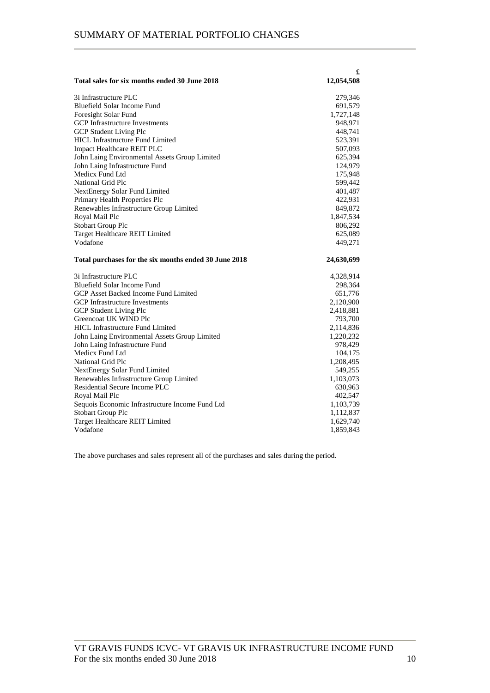|                                                       | £          |
|-------------------------------------------------------|------------|
| Total sales for six months ended 30 June 2018         | 12,054,508 |
| 3i Infrastructure PLC                                 | 279,346    |
| Bluefield Solar Income Fund                           | 691,579    |
| Foresight Solar Fund                                  | 1,727,148  |
| <b>GCP</b> Infrastructure Investments                 | 948,971    |
| <b>GCP Student Living Plc</b>                         | 448,741    |
| <b>HICL Infrastructure Fund Limited</b>               | 523,391    |
| <b>Impact Healthcare REIT PLC</b>                     | 507,093    |
| John Laing Environmental Assets Group Limited         | 625,394    |
| John Laing Infrastructure Fund                        | 124,979    |
| Medicx Fund Ltd                                       | 175,948    |
| National Grid Plc                                     | 599,442    |
| <b>NextEnergy Solar Fund Limited</b>                  | 401,487    |
| Primary Health Properties Plc                         | 422,931    |
| Renewables Infrastructure Group Limited               | 849,872    |
| Royal Mail Plc                                        | 1,847,534  |
| <b>Stobart Group Plc</b>                              | 806,292    |
| Target Healthcare REIT Limited                        | 625,089    |
| Vodafone                                              | 449,271    |
|                                                       |            |
| Total purchases for the six months ended 30 June 2018 | 24,630,699 |
| 3i Infrastructure PLC                                 | 4,328,914  |
| Bluefield Solar Income Fund                           | 298,364    |
| GCP Asset Backed Income Fund Limited                  | 651,776    |
| <b>GCP</b> Infrastructure Investments                 | 2,120,900  |
| <b>GCP Student Living Plc</b>                         | 2,418,881  |
| Greencoat UK WIND Plc                                 | 793,700    |
| <b>HICL Infrastructure Fund Limited</b>               | 2,114,836  |
| John Laing Environmental Assets Group Limited         | 1,220,232  |
| John Laing Infrastructure Fund                        | 978,429    |
| Medicx Fund Ltd                                       | 104,175    |
| <b>National Grid Plc</b>                              | 1,208,495  |
| NextEnergy Solar Fund Limited                         | 549,255    |
| Renewables Infrastructure Group Limited               | 1,103,073  |
| Residential Secure Income PLC                         | 630,963    |
| Royal Mail Plc                                        | 402,547    |
| Sequois Economic Infrastructure Income Fund Ltd       | 1,103,739  |
| Stobart Group Plc                                     | 1,112,837  |
| Target Healthcare REIT Limited                        | 1,629,740  |

The above purchases and sales represent all of the purchases and sales during the period.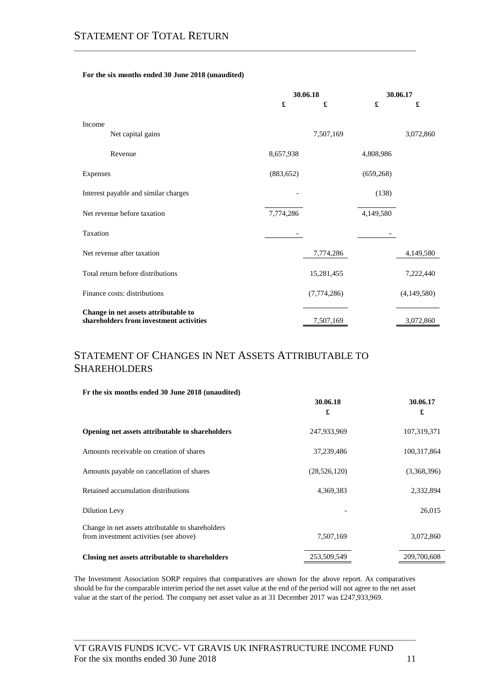# **For the six months ended 30 June 2018 (unaudited)**

|                                                                                 | 30.06.18   |             | 30.06.17   |             |
|---------------------------------------------------------------------------------|------------|-------------|------------|-------------|
|                                                                                 | £          | £           | £          | £           |
| Income<br>Net capital gains                                                     |            | 7,507,169   |            | 3,072,860   |
|                                                                                 |            |             |            |             |
| Revenue                                                                         | 8,657,938  |             | 4,808,986  |             |
| Expenses                                                                        | (883, 652) |             | (659, 268) |             |
| Interest payable and similar charges                                            |            |             | (138)      |             |
| Net revenue before taxation                                                     | 7,774,286  |             | 4,149,580  |             |
| Taxation                                                                        |            |             |            |             |
| Net revenue after taxation                                                      |            | 7,774,286   |            | 4,149,580   |
| Total return before distributions                                               |            | 15,281,455  |            | 7,222,440   |
| Finance costs: distributions                                                    |            | (7,774,286) |            | (4,149,580) |
| Change in net assets attributable to<br>shareholders from investment activities |            | 7,507,169   |            | 3,072,860   |

# STATEMENT OF CHANGES IN NET ASSETS ATTRIBUTABLE TO **SHAREHOLDERS**

| Fr the six months ended 30 June 2018 (unaudited)                                            |               |               |
|---------------------------------------------------------------------------------------------|---------------|---------------|
|                                                                                             | 30.06.18<br>£ | 30.06.17<br>£ |
| Opening net assets attributable to shareholders                                             | 247,933,969   | 107,319,371   |
| Amounts receivable on creation of shares                                                    | 37,239,486    | 100,317,864   |
| Amounts payable on cancellation of shares                                                   | (28,526,120)  | (3,368,396)   |
| Retained accumulation distributions                                                         | 4,369,383     | 2,332,894     |
| Dilution Levy                                                                               |               | 26,015        |
| Change in net assets attributable to shareholders<br>from investment activities (see above) | 7,507,169     | 3,072,860     |
| Closing net assets attributable to shareholders                                             | 253,509,549   | 209,700,608   |

The Investment Association SORP requires that comparatives are shown for the above report. As comparatives should be for the comparable interim period the net asset value at the end of the period will not agree to the net asset value at the start of the period. The company net asset value as at 31 December 2017 was £247,933,969.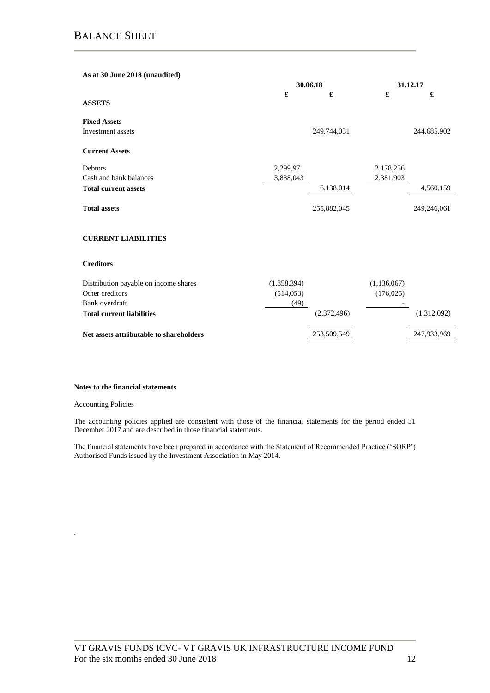| As at 30 June 2018 (unaudited) |           |             |           |             |
|--------------------------------|-----------|-------------|-----------|-------------|
|                                | 30.06.18  |             |           | 31.12.17    |
|                                | £         | £           | £         | £           |
| <b>ASSETS</b>                  |           |             |           |             |
| <b>Fixed Assets</b>            |           |             |           |             |
| Investment assets              |           | 249,744,031 |           | 244,685,902 |
| <b>Current Assets</b>          |           |             |           |             |
| Debtors                        | 2,299,971 |             | 2,178,256 |             |
| Cash and bank balances         | 3,838,043 |             | 2,381,903 |             |
| <b>Total current assets</b>    |           | 6,138,014   |           | 4,560,159   |
| <b>Total assets</b>            |           | 255,882,045 |           | 249,246,061 |

# **CURRENT LIABILITIES**

### **Creditors**

| Distribution payable on income shares<br>Other creditors | (1,858,394)<br>(514, 053) | (1,136,067)<br>(176, 025) |
|----------------------------------------------------------|---------------------------|---------------------------|
| Bank overdraft                                           | (49)                      |                           |
| <b>Total current liabilities</b>                         | (2,372,496)               | (1,312,092)               |
| Net assets attributable to shareholders                  | 253,509,549               | 247,933,969               |

#### **Notes to the financial statements**

#### Accounting Policies

.

The accounting policies applied are consistent with those of the financial statements for the period ended 31 December 2017 and are described in those financial statements.

The financial statements have been prepared in accordance with the Statement of Recommended Practice ('SORP') Authorised Funds issued by the Investment Association in May 2014.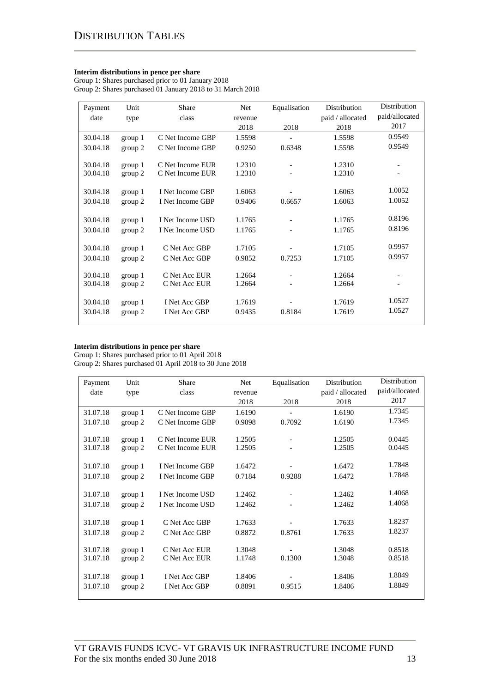### **Interim distributions in pence per share**

Group 1: Shares purchased prior to 01 January 2018 Group 2: Shares purchased 01 January 2018 to 31 March 2018

| Payment  | Unit    | <b>Share</b>     | Net     | Equalisation             | Distribution     | Distribution             |
|----------|---------|------------------|---------|--------------------------|------------------|--------------------------|
| date     | type    | class            | revenue |                          | paid / allocated | paid/allocated           |
|          |         |                  | 2018    | 2018                     | 2018             | 2017                     |
| 30.04.18 | group 1 | C Net Income GBP | 1.5598  |                          | 1.5598           | 0.9549                   |
| 30.04.18 | group 2 | C Net Income GBP | 0.9250  | 0.6348                   | 1.5598           | 0.9549                   |
|          |         |                  |         |                          |                  |                          |
| 30.04.18 | group 1 | C Net Income EUR | 1.2310  | $\overline{\phantom{a}}$ | 1.2310           |                          |
| 30.04.18 | group 2 | C Net Income EUR | 1.2310  | $\overline{\phantom{a}}$ | 1.2310           |                          |
| 30.04.18 | group 1 | I Net Income GBP | 1.6063  |                          | 1.6063           | 1.0052                   |
| 30.04.18 |         | I Net Income GBP | 0.9406  | 0.6657                   | 1.6063           | 1.0052                   |
|          | group 2 |                  |         |                          |                  |                          |
| 30.04.18 | group 1 | I Net Income USD | 1.1765  |                          | 1.1765           | 0.8196                   |
| 30.04.18 | group 2 | I Net Income USD | 1.1765  |                          | 1.1765           | 0.8196                   |
|          |         |                  |         |                          |                  |                          |
| 30.04.18 | group 1 | C Net Acc GBP    | 1.7105  |                          | 1.7105           | 0.9957                   |
| 30.04.18 | group 2 | C Net Acc GBP    | 0.9852  | 0.7253                   | 1.7105           | 0.9957                   |
| 30.04.18 | group 1 | C Net Acc EUR    | 1.2664  | $\blacksquare$           | 1.2664           | $\overline{\phantom{a}}$ |
|          |         | C Net Acc EUR    | 1.2664  |                          |                  |                          |
| 30.04.18 | group 2 |                  |         |                          | 1.2664           |                          |
| 30.04.18 | group 1 | I Net Acc GBP    | 1.7619  |                          | 1.7619           | 1.0527                   |
| 30.04.18 | group 2 | I Net Acc GBP    | 0.9435  | 0.8184                   | 1.7619           | 1.0527                   |
|          |         |                  |         |                          |                  |                          |

### **Interim distributions in pence per share**

Group 1: Shares purchased prior to 01 April 2018 Group 2: Shares purchased 01 April 2018 to 30 June 2018

| Payment  | Unit    | Share            | Net     | Equalisation             | Distribution     | <b>Distribution</b> |
|----------|---------|------------------|---------|--------------------------|------------------|---------------------|
| date     | type    | class            | revenue |                          | paid / allocated | paid/allocated      |
|          |         |                  | 2018    | 2018                     | 2018             | 2017                |
| 31.07.18 | group 1 | C Net Income GBP | 1.6190  |                          | 1.6190           | 1.7345              |
| 31.07.18 | group 2 | C Net Income GBP | 0.9098  | 0.7092                   | 1.6190           | 1.7345              |
|          |         |                  |         |                          |                  |                     |
| 31.07.18 | group 1 | C Net Income EUR | 1.2505  | $\overline{\phantom{a}}$ | 1.2505           | 0.0445              |
| 31.07.18 | group 2 | C Net Income EUR | 1.2505  |                          | 1.2505           | 0.0445              |
|          |         |                  |         |                          |                  |                     |
| 31.07.18 | group 1 | I Net Income GBP | 1.6472  |                          | 1.6472           | 1.7848              |
| 31.07.18 | group 2 | I Net Income GBP | 0.7184  | 0.9288                   | 1.6472           | 1.7848              |
|          |         |                  |         |                          |                  |                     |
| 31.07.18 | group 1 | I Net Income USD | 1.2462  |                          | 1.2462           | 1.4068              |
| 31.07.18 | group 2 | I Net Income USD | 1.2462  |                          | 1.2462           | 1.4068              |
|          |         |                  |         |                          |                  |                     |
| 31.07.18 | group 1 | C Net Acc GBP    | 1.7633  |                          | 1.7633           | 1.8237              |
| 31.07.18 | group 2 | C Net Acc GBP    | 0.8872  | 0.8761                   | 1.7633           | 1.8237              |
|          |         |                  |         |                          |                  |                     |
| 31.07.18 | group 1 | C Net Acc EUR    | 1.3048  |                          | 1.3048           | 0.8518              |
| 31.07.18 | group 2 | C Net Acc EUR    | 1.1748  | 0.1300                   | 1.3048           | 0.8518              |
|          |         |                  |         |                          |                  |                     |
| 31.07.18 | group 1 | I Net Acc GBP    | 1.8406  |                          | 1.8406           | 1.8849              |
| 31.07.18 | group 2 | I Net Acc GBP    | 0.8891  | 0.9515                   | 1.8406           | 1.8849              |
|          |         |                  |         |                          |                  |                     |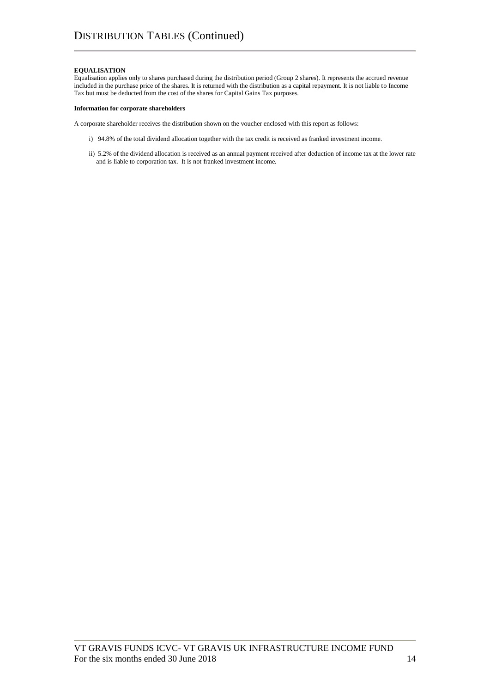#### **EQUALISATION**

Equalisation applies only to shares purchased during the distribution period (Group 2 shares). It represents the accrued revenue included in the purchase price of the shares. It is returned with the distribution as a capital repayment. It is not liable to Income Tax but must be deducted from the cost of the shares for Capital Gains Tax purposes.

#### **Information for corporate shareholders**

A corporate shareholder receives the distribution shown on the voucher enclosed with this report as follows:

- i) 94.8% of the total dividend allocation together with the tax credit is received as franked investment income.
- ii) 5.2% of the dividend allocation is received as an annual payment received after deduction of income tax at the lower rate and is liable to corporation tax. It is not franked investment income.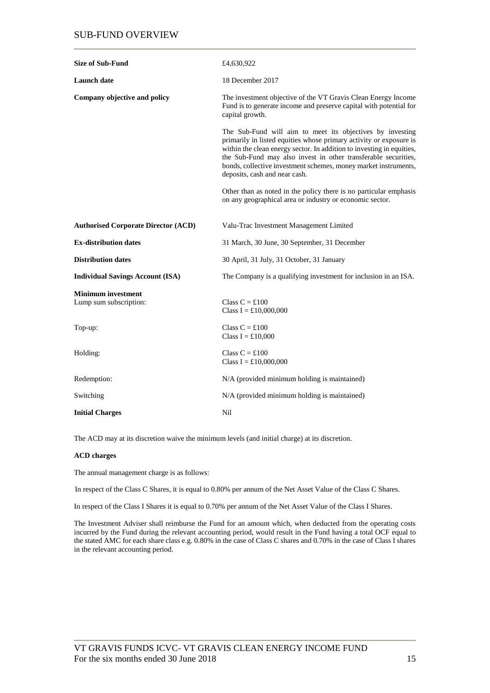# SUB-FUND OVERVIEW

| <b>Size of Sub-Fund</b>                             | £4,630,922                                                                                                                                                                                                                                                                                                                                                                     |
|-----------------------------------------------------|--------------------------------------------------------------------------------------------------------------------------------------------------------------------------------------------------------------------------------------------------------------------------------------------------------------------------------------------------------------------------------|
| <b>Launch</b> date                                  | 18 December 2017                                                                                                                                                                                                                                                                                                                                                               |
| Company objective and policy                        | The investment objective of the VT Gravis Clean Energy Income<br>Fund is to generate income and preserve capital with potential for<br>capital growth.                                                                                                                                                                                                                         |
|                                                     | The Sub-Fund will aim to meet its objectives by investing<br>primarily in listed equities whose primary activity or exposure is<br>within the clean energy sector. In addition to investing in equities,<br>the Sub-Fund may also invest in other transferable securities,<br>bonds, collective investment schemes, money market instruments,<br>deposits, cash and near cash. |
|                                                     | Other than as noted in the policy there is no particular emphasis<br>on any geographical area or industry or economic sector.                                                                                                                                                                                                                                                  |
| <b>Authorised Corporate Director (ACD)</b>          | Valu-Trac Investment Management Limited                                                                                                                                                                                                                                                                                                                                        |
| <b>Ex-distribution dates</b>                        | 31 March, 30 June, 30 September, 31 December                                                                                                                                                                                                                                                                                                                                   |
| <b>Distribution dates</b>                           | 30 April, 31 July, 31 October, 31 January                                                                                                                                                                                                                                                                                                                                      |
| <b>Individual Savings Account (ISA)</b>             | The Company is a qualifying investment for inclusion in an ISA.                                                                                                                                                                                                                                                                                                                |
| <b>Minimum investment</b><br>Lump sum subscription: | Class $C = £100$<br>Class $I = £10,000,000$                                                                                                                                                                                                                                                                                                                                    |
| Top-up:                                             | Class $C = £100$<br>Class $I = £10,000$                                                                                                                                                                                                                                                                                                                                        |
| Holding:                                            | Class $C = £100$<br>Class I = £10,000,000                                                                                                                                                                                                                                                                                                                                      |
| Redemption:                                         | N/A (provided minimum holding is maintained)                                                                                                                                                                                                                                                                                                                                   |
| Switching                                           | N/A (provided minimum holding is maintained)                                                                                                                                                                                                                                                                                                                                   |
| <b>Initial Charges</b>                              | Nil                                                                                                                                                                                                                                                                                                                                                                            |

The ACD may at its discretion waive the minimum levels (and initial charge) at its discretion.

### **ACD charges**

The annual management charge is as follows:

In respect of the Class C Shares, it is equal to 0.80% per annum of the Net Asset Value of the Class C Shares.

In respect of the Class I Shares it is equal to 0.70% per annum of the Net Asset Value of the Class I Shares.

The Investment Adviser shall reimburse the Fund for an amount which, when deducted from the operating costs incurred by the Fund during the relevant accounting period, would result in the Fund having a total OCF equal to the stated AMC for each share class e.g. 0.80% in the case of Class C shares and 0.70% in the case of Class I shares in the relevant accounting period.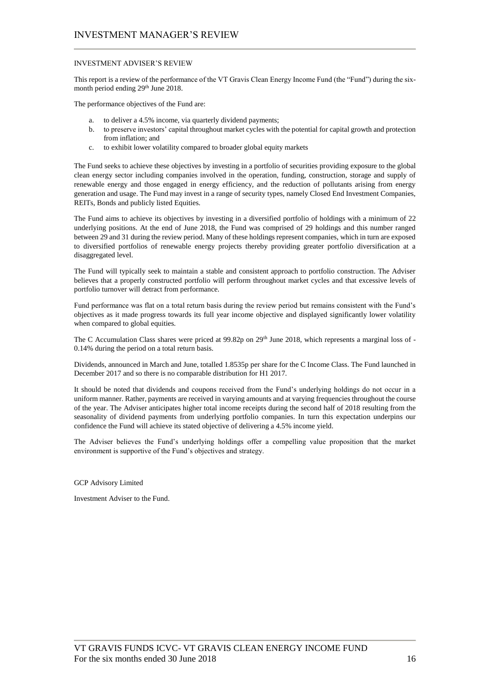## INVESTMENT ADVISER'S REVIEW

This report is a review of the performance of the VT Gravis Clean Energy Income Fund (the "Fund") during the sixmonth period ending 29<sup>th</sup> June 2018.

The performance objectives of the Fund are:

- a. to deliver a 4.5% income, via quarterly dividend payments;
- b. to preserve investors' capital throughout market cycles with the potential for capital growth and protection from inflation; and
- c. to exhibit lower volatility compared to broader global equity markets

The Fund seeks to achieve these objectives by investing in a portfolio of securities providing exposure to the global clean energy sector including companies involved in the operation, funding, construction, storage and supply of renewable energy and those engaged in energy efficiency, and the reduction of pollutants arising from energy generation and usage. The Fund may invest in a range of security types, namely Closed End Investment Companies, REITs, Bonds and publicly listed Equities.

The Fund aims to achieve its objectives by investing in a diversified portfolio of holdings with a minimum of 22 underlying positions. At the end of June 2018, the Fund was comprised of 29 holdings and this number ranged between 29 and 31 during the review period. Many of these holdings represent companies, which in turn are exposed to diversified portfolios of renewable energy projects thereby providing greater portfolio diversification at a disaggregated level.

The Fund will typically seek to maintain a stable and consistent approach to portfolio construction. The Adviser believes that a properly constructed portfolio will perform throughout market cycles and that excessive levels of portfolio turnover will detract from performance.

Fund performance was flat on a total return basis during the review period but remains consistent with the Fund's objectives as it made progress towards its full year income objective and displayed significantly lower volatility when compared to global equities.

The C Accumulation Class shares were priced at 99.82p on 29<sup>th</sup> June 2018, which represents a marginal loss of -0.14% during the period on a total return basis.

Dividends, announced in March and June, totalled 1.8535p per share for the C Income Class. The Fund launched in December 2017 and so there is no comparable distribution for H1 2017.

It should be noted that dividends and coupons received from the Fund's underlying holdings do not occur in a uniform manner. Rather, payments are received in varying amounts and at varying frequencies throughout the course of the year. The Adviser anticipates higher total income receipts during the second half of 2018 resulting from the seasonality of dividend payments from underlying portfolio companies. In turn this expectation underpins our confidence the Fund will achieve its stated objective of delivering a 4.5% income yield.

The Adviser believes the Fund's underlying holdings offer a compelling value proposition that the market environment is supportive of the Fund's objectives and strategy.

GCP Advisory Limited

Investment Adviser to the Fund.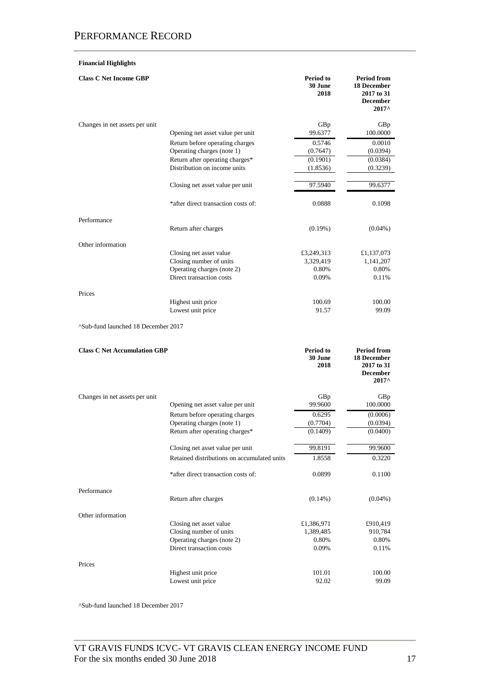# **Financial Highlights**

| <b>Class C Net Income GBP</b>       |                                                        | Period to<br>30 June<br>2018 | <b>Period from</b><br>18 December<br>2017 to 31<br><b>December</b><br>$2017^{\circ}$        |
|-------------------------------------|--------------------------------------------------------|------------------------------|---------------------------------------------------------------------------------------------|
| Changes in net assets per unit      |                                                        | GBp                          | GBp                                                                                         |
|                                     | Opening net asset value per unit                       | 99.6377                      | 100.0000                                                                                    |
|                                     | Return before operating charges                        | 0.5746                       | 0.0010                                                                                      |
|                                     | Operating charges (note 1)                             | (0.7647)                     | (0.0394)                                                                                    |
|                                     | Return after operating charges*                        | (0.1901)                     | (0.0384)                                                                                    |
|                                     | Distribution on income units                           | (1.8536)                     | (0.3239)                                                                                    |
|                                     | Closing net asset value per unit                       | 97.5940                      | 99.6377                                                                                     |
|                                     | *after direct transaction costs of:                    | 0.0888                       | 0.1098                                                                                      |
| Performance                         |                                                        |                              |                                                                                             |
|                                     | Return after charges                                   | $(0.19\%)$                   | $(0.04\%)$                                                                                  |
| Other information                   |                                                        |                              |                                                                                             |
|                                     | Closing net asset value                                | £3,249,313                   | £1,137,073                                                                                  |
|                                     | Closing number of units                                | 3,329,419                    | 1,141,207                                                                                   |
|                                     | Operating charges (note 2)<br>Direct transaction costs | 0.80%<br>0.09%               | 0.80%<br>0.11%                                                                              |
|                                     |                                                        |                              |                                                                                             |
| Prices                              |                                                        |                              |                                                                                             |
|                                     | Highest unit price                                     | 100.69                       | 100.00                                                                                      |
|                                     | Lowest unit price                                      | 91.57                        | 99.09                                                                                       |
| ^Sub-fund launched 18 December 2017 |                                                        |                              |                                                                                             |
| <b>Class C Net Accumulation GBP</b> |                                                        | Period to<br>30 June<br>2018 | <b>Period from</b><br><b>18 December</b><br>2017 to 31<br><b>December</b><br>$2017^{\circ}$ |
| Changes in net assets per unit      |                                                        | GBp                          | GBp                                                                                         |
|                                     | Opening net asset value per unit                       | 99.9600                      | 100.0000                                                                                    |
|                                     | Return before operating charges                        | 0.6295                       | (0.0006)                                                                                    |
|                                     | Operating charges (note 1)                             | (0.7704)                     | (0.0394)                                                                                    |
|                                     | Return after operating charges*                        | (0.1409)                     | (0.0400)                                                                                    |
|                                     | Closing net asset value per unit                       | 99.8191                      | 99.9600                                                                                     |
|                                     | Retained distributions on accumulated units            | 1.8558                       | 0.3220                                                                                      |
|                                     | *after direct transaction costs of:                    | 0.0899                       | 0.1100                                                                                      |
| Performance                         |                                                        |                              |                                                                                             |
|                                     | Return after charges                                   | $(0.14\%)$                   | $(0.04\%)$                                                                                  |
| Other information                   |                                                        |                              |                                                                                             |
|                                     | Closing net asset value                                | £1,386,971                   | £910,419                                                                                    |
|                                     | Closing number of units                                | 1,389,485                    | 910,784                                                                                     |

Prices

^Sub-fund launched 18 December 2017

Direct transaction costs

Lowest unit price

Operating charges (note 2) 0.80% 0.80% 0.80% 0.80% 0.80% 0.11%

Highest unit price 101.01 100.00<br>
Lowest unit price 92.02 99.09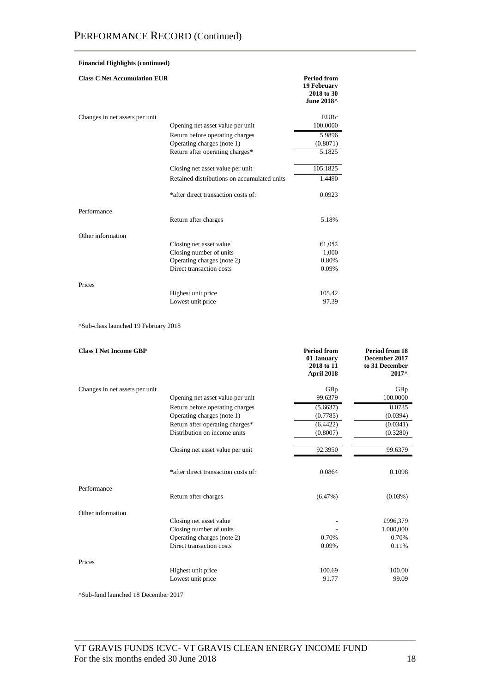| <b>Financial Highlights (continued)</b> |                                             |                                                               |  |  |
|-----------------------------------------|---------------------------------------------|---------------------------------------------------------------|--|--|
| <b>Class C Net Accumulation EUR</b>     |                                             | <b>Period from</b><br>19 February<br>2018 to 30<br>June 2018^ |  |  |
| Changes in net assets per unit          |                                             | <b>EURc</b>                                                   |  |  |
|                                         | Opening net asset value per unit            | 100.0000                                                      |  |  |
|                                         | Return before operating charges             | 5.9896                                                        |  |  |
|                                         | Operating charges (note 1)                  | (0.8071)                                                      |  |  |
|                                         | Return after operating charges*             | 5.1825                                                        |  |  |
|                                         |                                             | 105.1825                                                      |  |  |
|                                         | Closing net asset value per unit            |                                                               |  |  |
|                                         | Retained distributions on accumulated units | 1.4490                                                        |  |  |
|                                         | *after direct transaction costs of:         | 0.0923                                                        |  |  |
| Performance                             |                                             |                                                               |  |  |
|                                         | Return after charges                        | 5.18%                                                         |  |  |
| Other information                       |                                             |                                                               |  |  |
|                                         | Closing net asset value                     | €1,052                                                        |  |  |
|                                         | Closing number of units                     | 1,000                                                         |  |  |
|                                         | Operating charges (note 2)                  | 0.80%                                                         |  |  |
|                                         | Direct transaction costs                    | 0.09%                                                         |  |  |
| Prices                                  |                                             |                                                               |  |  |
|                                         | Highest unit price                          | 105.42                                                        |  |  |
|                                         | Lowest unit price                           | 97.39                                                         |  |  |

^Sub-class launched 19 February 2018

| <b>Class I Net Income GBP</b>  |                                     | <b>Period from</b><br>01 January<br>2018 to 11<br>April 2018 | Period from 18<br>December 2017<br>to 31 December<br>2017^ |
|--------------------------------|-------------------------------------|--------------------------------------------------------------|------------------------------------------------------------|
| Changes in net assets per unit |                                     | GBp                                                          | GBp                                                        |
|                                | Opening net asset value per unit    | 99.6379                                                      | 100.0000                                                   |
|                                | Return before operating charges     | (5.6637)                                                     | 0.0735                                                     |
|                                | Operating charges (note 1)          | (0.7785)                                                     | (0.0394)                                                   |
|                                | Return after operating charges*     | (6.4422)                                                     | (0.0341)                                                   |
|                                | Distribution on income units        | (0.8007)                                                     | (0.3280)                                                   |
|                                | Closing net asset value per unit    | 92.3950                                                      | 99.6379                                                    |
|                                | *after direct transaction costs of: | 0.0864                                                       | 0.1098                                                     |
| Performance                    | Return after charges                | $(6.47\%)$                                                   | $(0.03\%)$                                                 |
| Other information              |                                     |                                                              |                                                            |
|                                | Closing net asset value             |                                                              | £996,379                                                   |
|                                | Closing number of units             |                                                              | 1,000,000                                                  |
|                                | Operating charges (note 2)          | 0.70%                                                        | 0.70%                                                      |
|                                | Direct transaction costs            | 0.09%                                                        | 0.11%                                                      |
| Prices                         |                                     |                                                              |                                                            |
|                                | Highest unit price                  | 100.69                                                       | 100.00                                                     |
|                                | Lowest unit price                   | 91.77                                                        | 99.09                                                      |

^Sub-fund launched 18 December 2017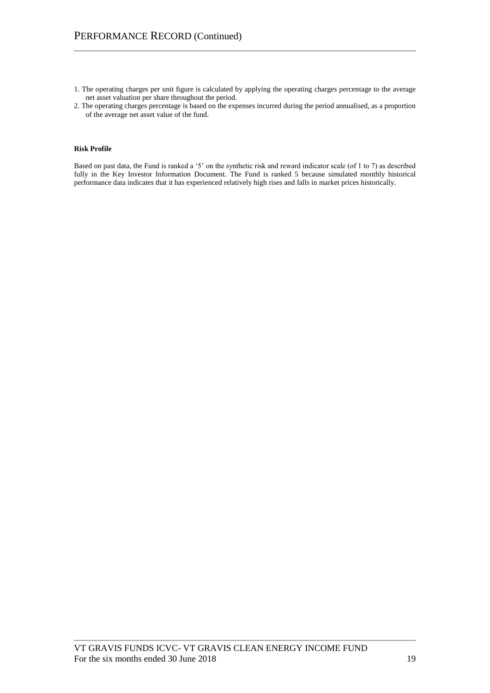- 1. The operating charges per unit figure is calculated by applying the operating charges percentage to the average net asset valuation per share throughout the period.
- 2. The operating charges percentage is based on the expenses incurred during the period annualised, as a proportion of the average net asset value of the fund.

# **Risk Profile**

Based on past data, the Fund is ranked a '5' on the synthetic risk and reward indicator scale (of 1 to 7) as described fully in the Key Investor Information Document. The Fund is ranked 5 because simulated monthly historical performance data indicates that it has experienced relatively high rises and falls in market prices historically.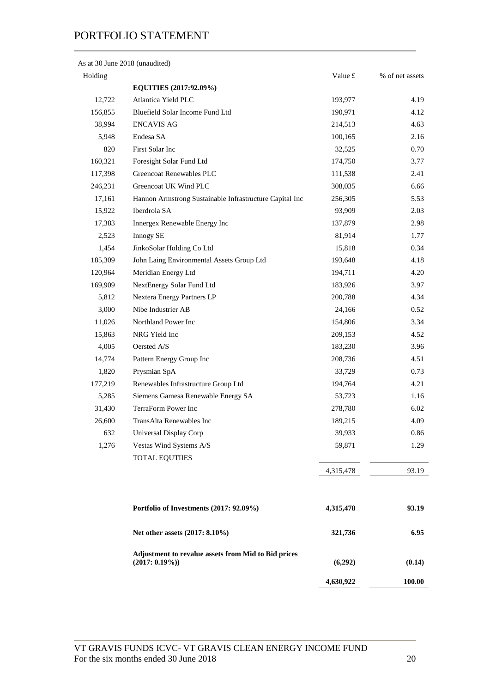As at 30 June 2018 (unaudited)

|                                                                         | 4,630,922                                                                                                                                                                                                                                                                                                                                                                                                                                                      | 100.00                                                                                                                                                                  |
|-------------------------------------------------------------------------|----------------------------------------------------------------------------------------------------------------------------------------------------------------------------------------------------------------------------------------------------------------------------------------------------------------------------------------------------------------------------------------------------------------------------------------------------------------|-------------------------------------------------------------------------------------------------------------------------------------------------------------------------|
| Adjustment to revalue assets from Mid to Bid prices<br>$(2017: 0.19\%)$ | (6,292)                                                                                                                                                                                                                                                                                                                                                                                                                                                        | (0.14)                                                                                                                                                                  |
| Net other assets (2017: 8.10%)                                          | 321,736                                                                                                                                                                                                                                                                                                                                                                                                                                                        | 6.95                                                                                                                                                                    |
| Portfolio of Investments (2017: 92.09%)                                 | 4,315,478                                                                                                                                                                                                                                                                                                                                                                                                                                                      | 93.19                                                                                                                                                                   |
|                                                                         | 4,315,478                                                                                                                                                                                                                                                                                                                                                                                                                                                      | 93.19                                                                                                                                                                   |
| <b>TOTAL EQUTIIES</b>                                                   |                                                                                                                                                                                                                                                                                                                                                                                                                                                                |                                                                                                                                                                         |
| Vestas Wind Systems A/S                                                 | 59,871                                                                                                                                                                                                                                                                                                                                                                                                                                                         | 1.29                                                                                                                                                                    |
| Universal Display Corp                                                  | 39,933                                                                                                                                                                                                                                                                                                                                                                                                                                                         | 0.86                                                                                                                                                                    |
| TransAlta Renewables Inc                                                | 189,215                                                                                                                                                                                                                                                                                                                                                                                                                                                        | 4.09                                                                                                                                                                    |
| TerraForm Power Inc                                                     | 278,780                                                                                                                                                                                                                                                                                                                                                                                                                                                        | 6.02                                                                                                                                                                    |
| Siemens Gamesa Renewable Energy SA                                      | 53,723                                                                                                                                                                                                                                                                                                                                                                                                                                                         | 1.16                                                                                                                                                                    |
| Renewables Infrastructure Group Ltd                                     | 194,764                                                                                                                                                                                                                                                                                                                                                                                                                                                        | 4.21                                                                                                                                                                    |
| Prysmian SpA                                                            | 33,729                                                                                                                                                                                                                                                                                                                                                                                                                                                         | 0.73                                                                                                                                                                    |
| Pattern Energy Group Inc                                                | 208,736                                                                                                                                                                                                                                                                                                                                                                                                                                                        | 4.51                                                                                                                                                                    |
| Oersted A/S                                                             | 183,230                                                                                                                                                                                                                                                                                                                                                                                                                                                        | 3.96                                                                                                                                                                    |
| NRG Yield Inc                                                           | 209,153                                                                                                                                                                                                                                                                                                                                                                                                                                                        | 4.52                                                                                                                                                                    |
| Northland Power Inc                                                     | 154,806                                                                                                                                                                                                                                                                                                                                                                                                                                                        | 3.34                                                                                                                                                                    |
| Nibe Industrier AB                                                      |                                                                                                                                                                                                                                                                                                                                                                                                                                                                | 0.52                                                                                                                                                                    |
| Nextera Energy Partners LP                                              | 200,788                                                                                                                                                                                                                                                                                                                                                                                                                                                        | 4.34                                                                                                                                                                    |
| NextEnergy Solar Fund Ltd                                               | 183,926                                                                                                                                                                                                                                                                                                                                                                                                                                                        | 3.97                                                                                                                                                                    |
|                                                                         |                                                                                                                                                                                                                                                                                                                                                                                                                                                                | 4.20                                                                                                                                                                    |
|                                                                         |                                                                                                                                                                                                                                                                                                                                                                                                                                                                | 4.18                                                                                                                                                                    |
|                                                                         |                                                                                                                                                                                                                                                                                                                                                                                                                                                                | 0.34                                                                                                                                                                    |
|                                                                         |                                                                                                                                                                                                                                                                                                                                                                                                                                                                | 1.77                                                                                                                                                                    |
|                                                                         |                                                                                                                                                                                                                                                                                                                                                                                                                                                                | 2.98                                                                                                                                                                    |
|                                                                         |                                                                                                                                                                                                                                                                                                                                                                                                                                                                | 2.03                                                                                                                                                                    |
|                                                                         |                                                                                                                                                                                                                                                                                                                                                                                                                                                                | 5.53                                                                                                                                                                    |
|                                                                         |                                                                                                                                                                                                                                                                                                                                                                                                                                                                | 6.66                                                                                                                                                                    |
|                                                                         |                                                                                                                                                                                                                                                                                                                                                                                                                                                                | 2.41                                                                                                                                                                    |
|                                                                         |                                                                                                                                                                                                                                                                                                                                                                                                                                                                | 3.77                                                                                                                                                                    |
|                                                                         |                                                                                                                                                                                                                                                                                                                                                                                                                                                                | 0.70                                                                                                                                                                    |
|                                                                         |                                                                                                                                                                                                                                                                                                                                                                                                                                                                | 4.63<br>2.16                                                                                                                                                            |
|                                                                         |                                                                                                                                                                                                                                                                                                                                                                                                                                                                | 4.12                                                                                                                                                                    |
|                                                                         |                                                                                                                                                                                                                                                                                                                                                                                                                                                                | 4.19                                                                                                                                                                    |
|                                                                         |                                                                                                                                                                                                                                                                                                                                                                                                                                                                |                                                                                                                                                                         |
|                                                                         | Value £                                                                                                                                                                                                                                                                                                                                                                                                                                                        | % of net assets                                                                                                                                                         |
|                                                                         | EQUITIES (2017:92.09%)<br>Atlantica Yield PLC<br>Bluefield Solar Income Fund Ltd<br><b>ENCAVIS AG</b><br>Endesa SA<br>First Solar Inc<br>Foresight Solar Fund Ltd<br><b>Greencoat Renewables PLC</b><br>Greencoat UK Wind PLC<br>Hannon Armstrong Sustainable Infrastructure Capital Inc<br>Iberdrola SA<br>Innergex Renewable Energy Inc<br><b>Innogy SE</b><br>JinkoSolar Holding Co Ltd<br>John Laing Environmental Assets Group Ltd<br>Meridian Energy Ltd | 193,977<br>190,971<br>214,513<br>100,165<br>32,525<br>174,750<br>111,538<br>308,035<br>256,305<br>93,909<br>137,879<br>81,914<br>15,818<br>193,648<br>194,711<br>24,166 |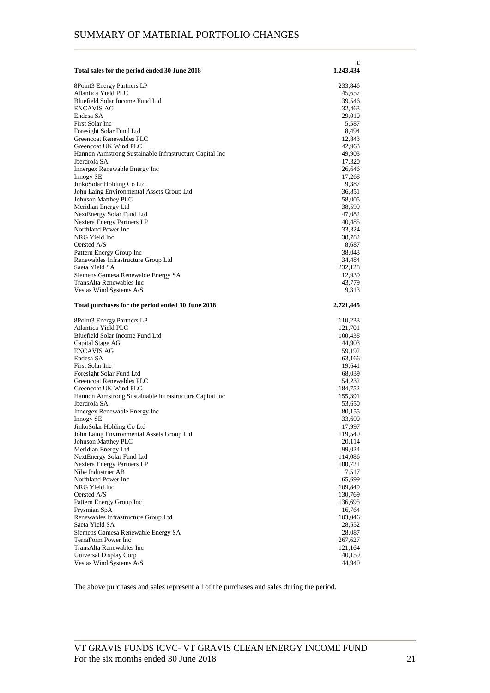| Total sales for the period ended 30 June 2018                           | £<br>1,243,434     |
|-------------------------------------------------------------------------|--------------------|
| 8Point3 Energy Partners LP                                              | 233,846            |
| Atlantica Yield PLC                                                     | 45,657             |
| Bluefield Solar Income Fund Ltd                                         | 39,546             |
| <b>ENCAVIS AG</b>                                                       | 32,463             |
| Endesa SA                                                               | 29,010             |
| First Solar Inc                                                         | 5,587              |
| Foresight Solar Fund Ltd                                                | 8,494              |
| Greencoat Renewables PLC                                                | 12,843             |
| Greencoat UK Wind PLC                                                   | 42,963             |
| Hannon Armstrong Sustainable Infrastructure Capital Inc<br>Iberdrola SA | 49,903             |
| Innergex Renewable Energy Inc                                           | 17,320<br>26,646   |
| <b>Innogy SE</b>                                                        | 17,268             |
| JinkoSolar Holding Co Ltd                                               | 9,387              |
| John Laing Environmental Assets Group Ltd                               | 36,851             |
| Johnson Matthey PLC                                                     | 58,005             |
| Meridian Energy Ltd                                                     | 38,599             |
| NextEnergy Solar Fund Ltd                                               | 47,082             |
| Nextera Energy Partners LP<br>Northland Power Inc                       | 40,485             |
| NRG Yield Inc                                                           | 33,324<br>38,782   |
| Oersted A/S                                                             | 8,687              |
| Pattern Energy Group Inc                                                | 38,043             |
| Renewables Infrastructure Group Ltd                                     | 34,484             |
| Saeta Yield SA                                                          | 232,128            |
| Siemens Gamesa Renewable Energy SA                                      | 12,939             |
| TransAlta Renewables Inc                                                | 43,779             |
| Vestas Wind Systems A/S                                                 | 9,313              |
| Total purchases for the period ended 30 June 2018                       | 2,721,445          |
| 8Point3 Energy Partners LP                                              | 110,233            |
| Atlantica Yield PLC                                                     | 121,701            |
| Bluefield Solar Income Fund Ltd                                         | 100,438            |
| Capital Stage AG                                                        | 44,903             |
| <b>ENCAVIS AG</b>                                                       | 59,192             |
| Endesa SA                                                               | 63,166             |
| First Solar Inc                                                         | 19,641             |
| Foresight Solar Fund Ltd<br>Greencoat Renewables PLC                    | 68,039<br>54,232   |
| Greencoat UK Wind PLC                                                   | 184,752            |
| Hannon Armstrong Sustainable Infrastructure Capital Inc                 | 155,391            |
| Iberdrola SA                                                            | 53,650             |
| Innergex Renewable Energy Inc                                           | 80,155             |
| Innogy SE                                                               | 33,600             |
| JinkoSolar Holding Co Ltd                                               | 17,997             |
| John Laing Environmental Assets Group Ltd                               | 119,540            |
| Johnson Matthey PLC                                                     | 20,114             |
| Meridian Energy Ltd                                                     | 99,024             |
| NextEnergy Solar Fund Ltd                                               | 114,086            |
| Nextera Energy Partners LP                                              | 100,721            |
| Nibe Industrier AB<br>Northland Power Inc                               | 7,517              |
| NRG Yield Inc                                                           | 65,699             |
| Oersted A/S                                                             | 109,849<br>130,769 |
| Pattern Energy Group Inc                                                | 136,695            |
| Prysmian SpA                                                            | 16,764             |
| Renewables Infrastructure Group Ltd                                     | 103,046            |
| Saeta Yield SA                                                          | 28,552             |
| Siemens Gamesa Renewable Energy SA                                      | 28,087             |
| TerraForm Power Inc                                                     | 267,627            |
| TransAlta Renewables Inc                                                | 121,164            |
| Universal Display Corp                                                  | 40,159             |
| Vestas Wind Systems A/S                                                 | 44,940             |

The above purchases and sales represent all of the purchases and sales during the period.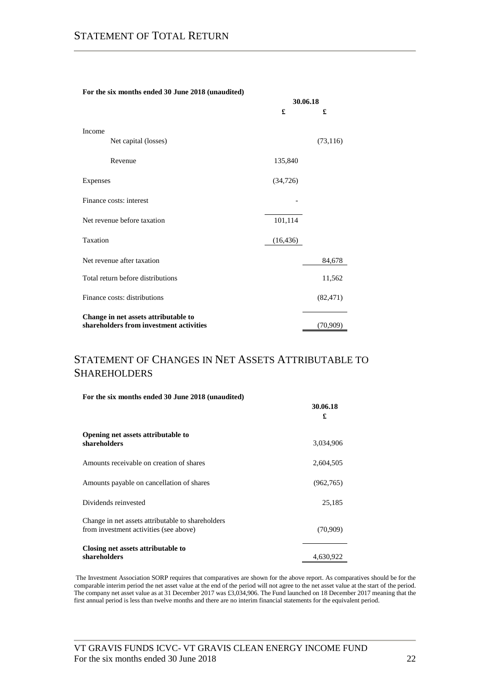| For the six months ended 30 June 2018 (unaudited) |           |           |  |  |  |
|---------------------------------------------------|-----------|-----------|--|--|--|
|                                                   | 30.06.18  |           |  |  |  |
|                                                   | £         | £         |  |  |  |
|                                                   |           |           |  |  |  |
| Income                                            |           |           |  |  |  |
| Net capital (losses)                              |           | (73, 116) |  |  |  |
| Revenue                                           | 135,840   |           |  |  |  |
|                                                   |           |           |  |  |  |
| Expenses                                          | (34, 726) |           |  |  |  |
| Finance costs: interest                           |           |           |  |  |  |
|                                                   |           |           |  |  |  |
| Net revenue before taxation                       | 101,114   |           |  |  |  |
| Taxation                                          | (16, 436) |           |  |  |  |
|                                                   |           |           |  |  |  |
| Net revenue after taxation                        |           | 84,678    |  |  |  |
| Total return before distributions                 |           | 11,562    |  |  |  |
|                                                   |           |           |  |  |  |
| Finance costs: distributions                      |           | (82, 471) |  |  |  |
| Change in net assets attributable to              |           |           |  |  |  |
| shareholders from investment activities           |           | (70, 909) |  |  |  |

# STATEMENT OF CHANGES IN NET ASSETS ATTRIBUTABLE TO SHAREHOLDERS

|  |  | For the six months ended 30 June 2018 (unaudited) |  |  |  |  |  |
|--|--|---------------------------------------------------|--|--|--|--|--|
|--|--|---------------------------------------------------|--|--|--|--|--|

|                                                                                             | 30.06.18<br>£ |
|---------------------------------------------------------------------------------------------|---------------|
| Opening net assets attributable to<br>shareholders                                          | 3,034,906     |
| Amounts receivable on creation of shares                                                    | 2,604,505     |
| Amounts payable on cancellation of shares                                                   | (962,765)     |
| Dividends reinvested                                                                        | 25,185        |
| Change in net assets attributable to shareholders<br>from investment activities (see above) | (70,909)      |
| Closing net assets attributable to<br>shareholders                                          | 4,630,922     |

The Investment Association SORP requires that comparatives are shown for the above report. As comparatives should be for the comparable interim period the net asset value at the end of the period will not agree to the net asset value at the start of the period. The company net asset value as at 31 December 2017 was £3,034,906. The Fund launched on 18 December 2017 meaning that the first annual period is less than twelve months and there are no interim financial statements for the equivalent period.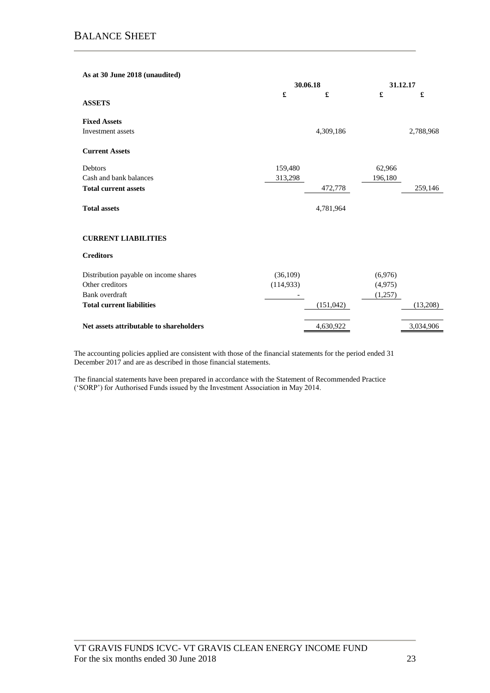| As at 30 June 2018 (unaudited)          |            |            |          |           |
|-----------------------------------------|------------|------------|----------|-----------|
|                                         | 30.06.18   |            | 31.12.17 |           |
| <b>ASSETS</b>                           | £          | £          | £        | £         |
| <b>Fixed Assets</b>                     |            |            |          |           |
| Investment assets                       |            | 4,309,186  |          | 2,788,968 |
| <b>Current Assets</b>                   |            |            |          |           |
| Debtors                                 | 159,480    |            | 62,966   |           |
| Cash and bank balances                  | 313,298    |            | 196,180  |           |
| <b>Total current assets</b>             |            | 472,778    |          | 259,146   |
| <b>Total assets</b>                     |            | 4,781,964  |          |           |
| <b>CURRENT LIABILITIES</b>              |            |            |          |           |
| <b>Creditors</b>                        |            |            |          |           |
| Distribution payable on income shares   | (36,109)   |            | (6,976)  |           |
| Other creditors                         | (114, 933) |            | (4,975)  |           |
| Bank overdraft                          |            |            | (1,257)  |           |
| <b>Total current liabilities</b>        |            | (151, 042) |          | (13,208)  |
| Net assets attributable to shareholders |            | 4,630,922  |          | 3,034,906 |
|                                         |            |            |          |           |

The accounting policies applied are consistent with those of the financial statements for the period ended 31 December 2017 and are as described in those financial statements.

The financial statements have been prepared in accordance with the Statement of Recommended Practice ('SORP') for Authorised Funds issued by the Investment Association in May 2014.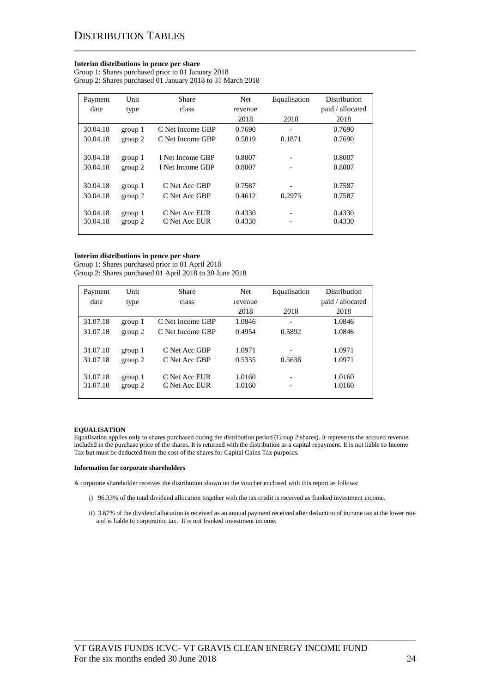#### **Interim distributions in pence per share**

Group 1: Shares purchased prior to 01 January 2018 Group 2: Shares purchased 01 January 2018 to 31 March 2018

| Payment  | Unit    | Share            | Net     | Equalisation                 | Distribution     |
|----------|---------|------------------|---------|------------------------------|------------------|
| date     | type    | class            | revenue |                              | paid / allocated |
|          |         |                  | 2018    | 2018                         | 2018             |
| 30.04.18 | group 1 | C Net Income GBP | 0.7690  | $\qquad \qquad \blacksquare$ | 0.7690           |
| 30.04.18 | group 2 | C Net Income GBP | 0.5819  | 0.1871                       | 0.7690           |
|          |         |                  |         |                              |                  |
| 30.04.18 | group 1 | I Net Income GBP | 0.8007  | $\qquad \qquad \blacksquare$ | 0.8007           |
| 30.04.18 | group 2 | I Net Income GBP | 0.8007  |                              | 0.8007           |
|          |         |                  |         |                              |                  |
| 30.04.18 | group 1 | C Net Acc GBP    | 0.7587  | $\overline{\phantom{a}}$     | 0.7587           |
| 30.04.18 | group 2 | C Net Acc GBP    | 0.4612  | 0.2975                       | 0.7587           |
|          |         |                  |         |                              |                  |
| 30.04.18 | group 1 | C Net Acc EUR    | 0.4330  | $\overline{\phantom{0}}$     | 0.4330           |
| 30.04.18 | group 2 | C Net Acc EUR    | 0.4330  |                              | 0.4330           |
|          |         |                  |         |                              |                  |

#### **Interim distributions in pence per share**

Group 1: Shares purchased prior to 01 April 2018 Group 2: Shares purchased 01 April 2018 to 30 June 2018

| Payment  | Unit    | Share             | Net     | Equalisation   | Distribution     |
|----------|---------|-------------------|---------|----------------|------------------|
| date     | type    | class             | revenue |                | paid / allocated |
|          |         |                   | 2018    | 2018           | 2018             |
| 31.07.18 | group 1 | C Net Income GBP  | 1.0846  |                | 1.0846           |
| 31.07.18 | group 2 | C. Net Income GBP | 0.4954  | 0.5892         | 1.0846           |
|          |         |                   |         |                |                  |
| 31.07.18 | group 1 | C Net Acc GBP     | 1.0971  |                | 1.0971           |
| 31.07.18 | group 2 | C Net Acc GBP     | 0.5335  | 0.5636         | 1.0971           |
|          |         |                   |         |                |                  |
| 31.07.18 | group 1 | C Net Acc EUR     | 1.0160  | $\overline{a}$ | 1.0160           |
| 31.07.18 | group 2 | C Net Acc EUR     | 1.0160  |                | 1.0160           |
|          |         |                   |         |                |                  |

### **EQUALISATION**

Equalisation applies only to shares purchased during the distribution period (Group 2 shares). It represents the accrued revenue included in the purchase price of the shares. It is returned with the distribution as a capital repayment. It is not liable to Income Tax but must be deducted from the cost of the shares for Capital Gains Tax purposes.

#### **Information for corporate shareholders**

A corporate shareholder receives the distribution shown on the voucher enclosed with this report as follows:

- i) 96.33% of the total dividend allocation together with the tax credit is received as franked investment income.
- ii) 3.67% of the dividend allocation is received as an annual payment received after deduction of income tax at the lower rate and is liable to corporation tax. It is not franked investment income.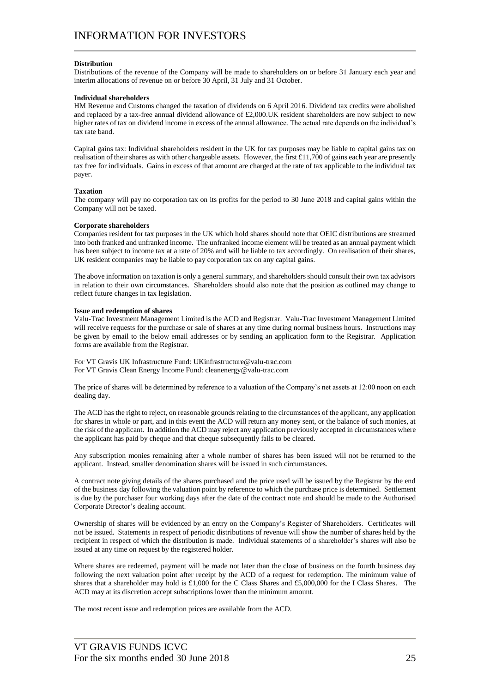### **Distribution**

Distributions of the revenue of the Company will be made to shareholders on or before 31 January each year and interim allocations of revenue on or before 30 April, 31 July and 31 October.

#### **Individual shareholders**

HM Revenue and Customs changed the taxation of dividends on 6 April 2016. Dividend tax credits were abolished and replaced by a tax-free annual dividend allowance of £2,000.UK resident shareholders are now subject to new higher rates of tax on dividend income in excess of the annual allowance. The actual rate depends on the individual's tax rate band.

Capital gains tax: Individual shareholders resident in the UK for tax purposes may be liable to capital gains tax on realisation of their shares as with other chargeable assets. However, the first £11,700 of gains each year are presently tax free for individuals. Gains in excess of that amount are charged at the rate of tax applicable to the individual tax payer.

#### **Taxation**

The company will pay no corporation tax on its profits for the period to 30 June 2018 and capital gains within the Company will not be taxed.

#### **Corporate shareholders**

Companies resident for tax purposes in the UK which hold shares should note that OEIC distributions are streamed into both franked and unfranked income. The unfranked income element will be treated as an annual payment which has been subject to income tax at a rate of 20% and will be liable to tax accordingly. On realisation of their shares, UK resident companies may be liable to pay corporation tax on any capital gains.

The above information on taxation is only a general summary, and shareholders should consult their own tax advisors in relation to their own circumstances. Shareholders should also note that the position as outlined may change to reflect future changes in tax legislation.

#### **Issue and redemption of shares**

Valu-Trac Investment Management Limited is the ACD and Registrar. Valu-Trac Investment Management Limited will receive requests for the purchase or sale of shares at any time during normal business hours. Instructions may be given by email to the below email addresses or by sending an application form to the Registrar. Application forms are available from the Registrar.

For VT Gravis UK Infrastructure Fund: UKinfrastructure@valu-trac.com For VT Gravis Clean Energy Income Fund: cleanenergy@valu-trac.com

The price of shares will be determined by reference to a valuation of the Company's net assets at 12:00 noon on each dealing day.

The ACD has the right to reject, on reasonable grounds relating to the circumstances of the applicant, any application for shares in whole or part, and in this event the ACD will return any money sent, or the balance of such monies, at the risk of the applicant. In addition the ACD may reject any application previously accepted in circumstances where the applicant has paid by cheque and that cheque subsequently fails to be cleared.

Any subscription monies remaining after a whole number of shares has been issued will not be returned to the applicant. Instead, smaller denomination shares will be issued in such circumstances.

A contract note giving details of the shares purchased and the price used will be issued by the Registrar by the end of the business day following the valuation point by reference to which the purchase price is determined. Settlement is due by the purchaser four working days after the date of the contract note and should be made to the Authorised Corporate Director's dealing account.

Ownership of shares will be evidenced by an entry on the Company's Register of Shareholders. Certificates will not be issued. Statements in respect of periodic distributions of revenue will show the number of shares held by the recipient in respect of which the distribution is made. Individual statements of a shareholder's shares will also be issued at any time on request by the registered holder.

Where shares are redeemed, payment will be made not later than the close of business on the fourth business day following the next valuation point after receipt by the ACD of a request for redemption. The minimum value of shares that a shareholder may hold is £1,000 for the C Class Shares and £5,000,000 for the I Class Shares. The ACD may at its discretion accept subscriptions lower than the minimum amount.

The most recent issue and redemption prices are available from the ACD.